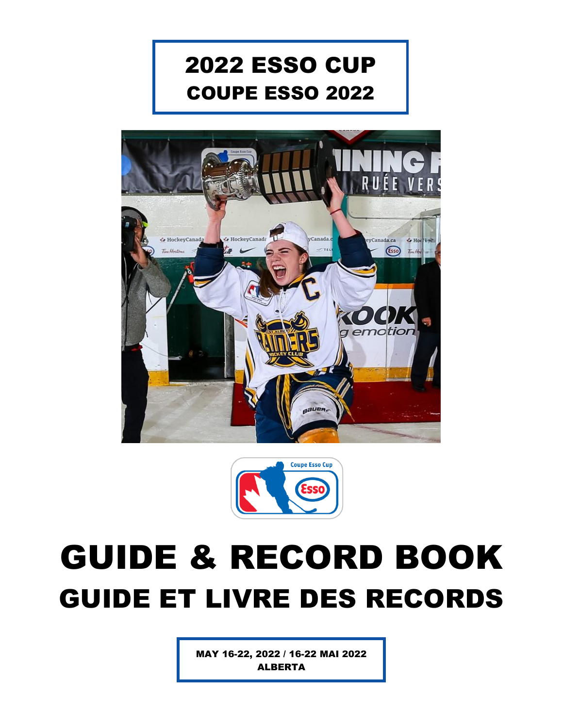





MAY 16-22, 2022 / 16-22 MAI 2022 ALBERTA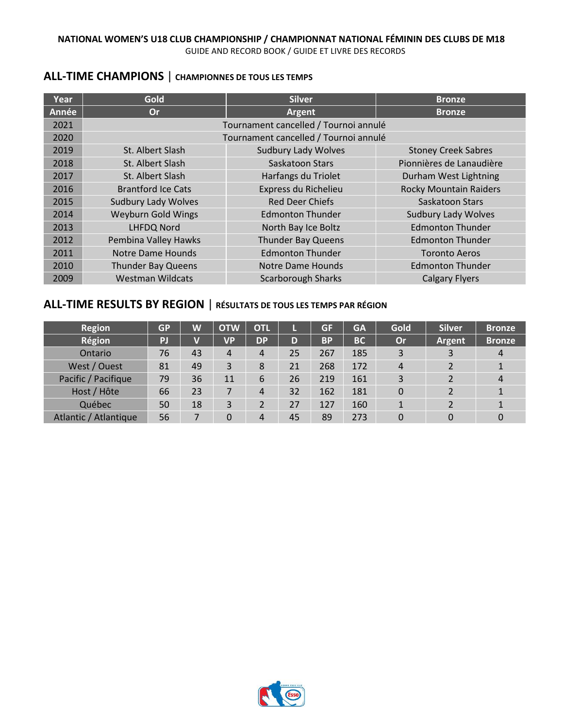# **ALL-TIME CHAMPIONS** | **CHAMPIONNES DE TOUS LES TEMPS**

| Year  | Gold                       | <b>Silver</b>                         | <b>Bronze</b>                 |
|-------|----------------------------|---------------------------------------|-------------------------------|
| Année | <b>Or</b>                  | Argent                                | <b>Bronze</b>                 |
| 2021  |                            | Tournament cancelled / Tournoi annulé |                               |
| 2020  |                            | Tournament cancelled / Tournoi annulé |                               |
| 2019  | St. Albert Slash           | <b>Sudbury Lady Wolves</b>            | <b>Stoney Creek Sabres</b>    |
| 2018  | St. Albert Slash           | Saskatoon Stars                       | Pionnières de Lanaudière      |
| 2017  | St. Albert Slash           | Harfangs du Triolet                   | Durham West Lightning         |
| 2016  | <b>Brantford Ice Cats</b>  | Express du Richelieu                  | <b>Rocky Mountain Raiders</b> |
| 2015  | <b>Sudbury Lady Wolves</b> | <b>Red Deer Chiefs</b>                | Saskatoon Stars               |
| 2014  | <b>Weyburn Gold Wings</b>  | <b>Edmonton Thunder</b>               | <b>Sudbury Lady Wolves</b>    |
| 2013  | <b>LHFDQ Nord</b>          | North Bay Ice Boltz                   | <b>Edmonton Thunder</b>       |
| 2012  | Pembina Valley Hawks       | <b>Thunder Bay Queens</b>             | <b>Edmonton Thunder</b>       |
| 2011  | <b>Notre Dame Hounds</b>   | <b>Edmonton Thunder</b>               | <b>Toronto Aeros</b>          |
| 2010  | <b>Thunder Bay Queens</b>  | Notre Dame Hounds                     | <b>Edmonton Thunder</b>       |
| 2009  | <b>Westman Wildcats</b>    | <b>Scarborough Sharks</b>             | <b>Calgary Flyers</b>         |

# **ALL-TIME RESULTS BY REGION** | **RÉSULTATS DE TOUS LES TEMPS PAR RÉGION**

| <b>Region</b>         | <b>GP</b> | W  | <b>OTW</b> | <b>OTL</b> |    | GF        | <b>GA</b> | Gold      | <b>Silver</b> | <b>Bronze</b>  |
|-----------------------|-----------|----|------------|------------|----|-----------|-----------|-----------|---------------|----------------|
| Région                | PJ        |    | <b>VP</b>  | <b>DP</b>  | D  | <b>BP</b> | <b>BC</b> | <b>Or</b> | <b>Argent</b> | <b>Bronze</b>  |
| Ontario               | 76        | 43 | 4          | 4          | 25 | 267       | 185       | 3         |               | $\overline{4}$ |
| West / Ouest          | 81        | 49 | 3          | 8          | 21 | 268       | 172       | 4         |               |                |
| Pacific / Pacifique   | 79        | 36 | 11         | 6          | 26 | 219       | 161       | 3         |               | $\overline{4}$ |
| Host / Hôte           | 66        | 23 |            | 4          | 32 | 162       | 181       | 0         | າ             |                |
| Québec                | 50        | 18 | 3          |            | 27 | 127       | 160       | 1         |               |                |
| Atlantic / Atlantique | 56        |    | 0          | 4          | 45 | 89        | 273       | 0         | 0             |                |

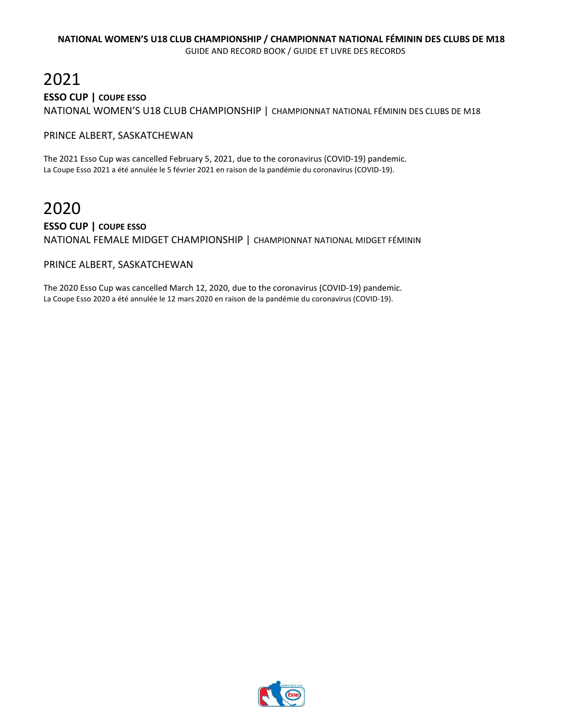# 2021 **ESSO CUP | COUPE ESSO** NATIONAL WOMEN'S U18 CLUB CHAMPIONSHIP | CHAMPIONNAT NATIONAL FÉMININ DES CLUBS DE M18

#### PRINCE ALBERT, SASKATCHEWAN

The 2021 Esso Cup was cancelled February 5, 2021, due to the coronavirus (COVID-19) pandemic. La Coupe Esso 2021 a été annulée le 5 février 2021 en raison de la pandémie du coronavirus (COVID-19).

# 2020

### **ESSO CUP | COUPE ESSO** NATIONAL FEMALE MIDGET CHAMPIONSHIP | CHAMPIONNAT NATIONAL MIDGET FÉMININ

#### PRINCE ALBERT, SASKATCHEWAN

The 2020 Esso Cup was cancelled March 12, 2020, due to the coronavirus (COVID-19) pandemic. La Coupe Esso 2020 a été annulée le 12 mars 2020 en raison de la pandémie du coronavirus (COVID-19).

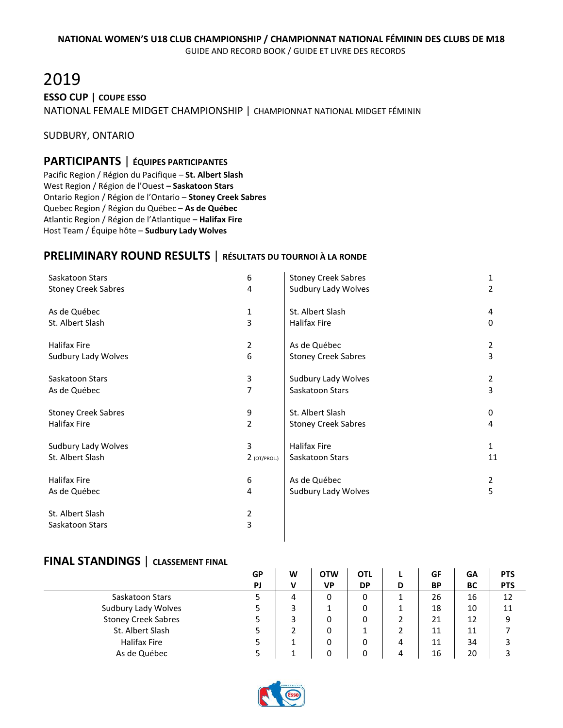# 2019 **ESSO CUP | COUPE ESSO** NATIONAL FEMALE MIDGET CHAMPIONSHIP | CHAMPIONNAT NATIONAL MIDGET FÉMININ

SUDBURY, ONTARIO

#### **PARTICIPANTS** | **ÉQUIPES PARTICIPANTES**

Pacific Region / Région du Pacifique – **St. Albert Slash** West Region / Région de l'Ouest **– Saskatoon Stars** Ontario Region / Région de l'Ontario – **Stoney Creek Sabres** Quebec Region / Région du Québec – **As de Québec** Atlantic Region / Région de l'Atlantique – **Halifax Fire** Host Team / Équipe hôte – **Sudbury Lady Wolves**

# **PRELIMINARY ROUND RESULTS** | **RÉSULTATS DU TOURNOI À LA RONDE**

| Saskatoon Stars            | 6              | <b>Stoney Creek Sabres</b> | 1              |
|----------------------------|----------------|----------------------------|----------------|
| <b>Stoney Creek Sabres</b> | 4              | Sudbury Lady Wolves        | 2              |
| As de Québec               | 1              | St. Albert Slash           | 4              |
| St. Albert Slash           | 3              | <b>Halifax Fire</b>        | 0              |
| Halifax Fire               | $\overline{2}$ | As de Québec               | $\overline{2}$ |
| Sudbury Lady Wolves        | 6              | <b>Stoney Creek Sabres</b> | 3              |
| Saskatoon Stars            | 3              | Sudbury Lady Wolves        | $\overline{2}$ |
| As de Québec               | 7              | Saskatoon Stars            | 3              |
| <b>Stoney Creek Sabres</b> | 9              | St. Albert Slash           | 0              |
| <b>Halifax Fire</b>        | $\overline{2}$ | <b>Stoney Creek Sabres</b> | 4              |
| Sudbury Lady Wolves        | 3              | <b>Halifax Fire</b>        | 1              |
| St. Albert Slash           | $2$ (OT/PROL.) | Saskatoon Stars            | 11             |
| <b>Halifax Fire</b>        | 6              | As de Québec               | 2              |
| As de Québec               | 4              | Sudbury Lady Wolves        | 5              |
| St. Albert Slash           | $\overline{2}$ |                            |                |
| Saskatoon Stars            | 3              |                            |                |
|                            |                |                            |                |

|                            | GP | W | <b>OTW</b> | OTL       |   | GF        | GΑ | <b>PTS</b> |
|----------------------------|----|---|------------|-----------|---|-----------|----|------------|
|                            | PJ | v | VP         | <b>DP</b> | D | <b>BP</b> | BC | <b>PTS</b> |
| Saskatoon Stars            |    | 4 | 0          | 0         |   | 26        | 16 | 12         |
| Sudbury Lady Wolves        |    | 3 |            | 0         |   | 18        | 10 | 11         |
| <b>Stoney Creek Sabres</b> |    |   | 0          | 0         |   | 21        | 12 | 9          |
| St. Albert Slash           |    |   | 0          |           |   | 11        | 11 |            |
| <b>Halifax Fire</b>        |    |   | 0          | 0         | 4 | 11        | 34 | 3          |
| As de Québec               |    |   | 0          | 0         | 4 | 16        | 20 |            |

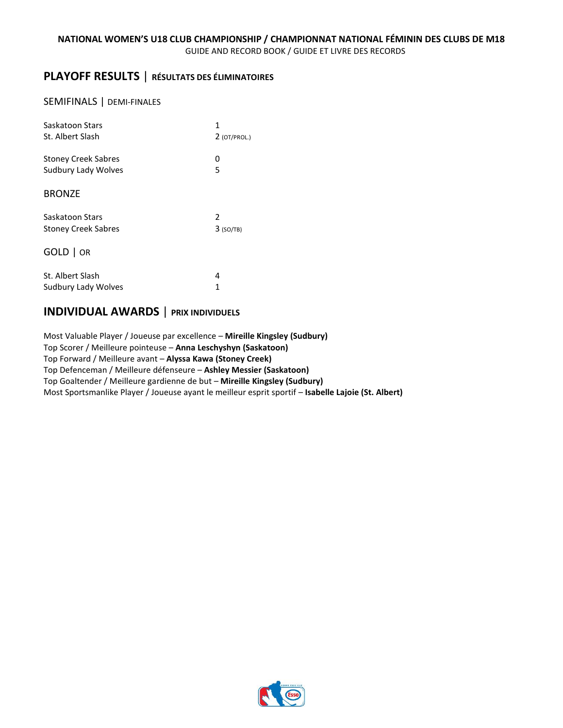# **PLAYOFF RESULTS** | **RÉSULTATS DES ÉLIMINATOIRES**

#### SEMIFINALS | DEMI-FINALES

| Saskatoon Stars            | 1              |
|----------------------------|----------------|
| St. Albert Slash           | $2$ (OT/PROL.) |
| <b>Stoney Creek Sabres</b> | 0              |
| Sudbury Lady Wolves        | 5              |
| <b>BRONZE</b>              |                |
| Saskatoon Stars            | 2              |
| <b>Stoney Creek Sabres</b> | $3$ (SO/TB)    |
| $GOLD$   OR                |                |
| St. Albert Slash           | 4              |
| Sudbury Lady Wolves        | 1              |

# **INDIVIDUAL AWARDS** | **PRIX INDIVIDUELS**

Most Valuable Player / Joueuse par excellence – **Mireille Kingsley (Sudbury)** Top Scorer / Meilleure pointeuse – **Anna Leschyshyn (Saskatoon)** Top Forward / Meilleure avant – **Alyssa Kawa (Stoney Creek)** Top Defenceman / Meilleure défenseure – **Ashley Messier (Saskatoon)** Top Goaltender / Meilleure gardienne de but – **Mireille Kingsley (Sudbury)** Most Sportsmanlike Player / Joueuse ayant le meilleur esprit sportif – **Isabelle Lajoie (St. Albert)**

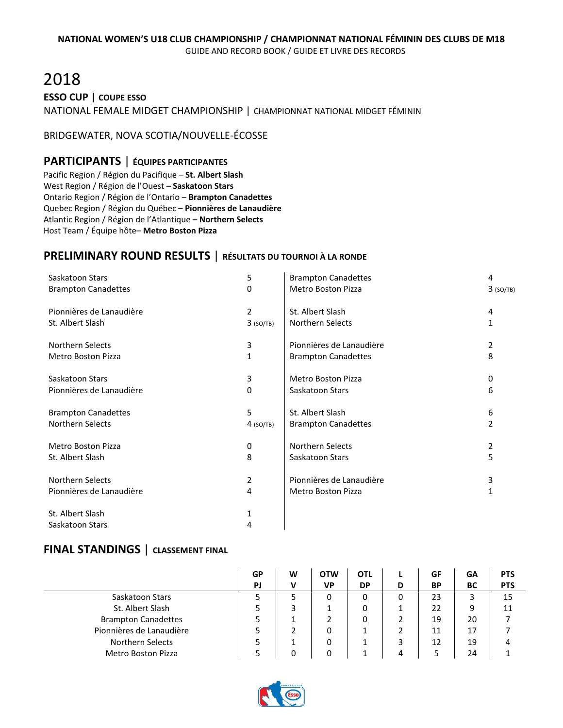# 2018

**ESSO CUP | COUPE ESSO**

NATIONAL FEMALE MIDGET CHAMPIONSHIP | CHAMPIONNAT NATIONAL MIDGET FÉMININ

#### BRIDGEWATER, NOVA SCOTIA/NOUVELLE-ÉCOSSE

### **PARTICIPANTS** | **ÉQUIPES PARTICIPANTES**

Pacific Region / Région du Pacifique – **St. Albert Slash** West Region / Région de l'Ouest **– Saskatoon Stars** Ontario Region / Région de l'Ontario – **Brampton Canadettes** Quebec Region / Région du Québec – **Pionnières de Lanaudière** Atlantic Region / Région de l'Atlantique – **Northern Selects** Host Team / Équipe hôte– **Metro Boston Pizza**

# **PRELIMINARY ROUND RESULTS** | **RÉSULTATS DU TOURNOI À LA RONDE**

| Saskatoon Stars            | 5              | <b>Brampton Canadettes</b> | 4           |
|----------------------------|----------------|----------------------------|-------------|
| <b>Brampton Canadettes</b> | 0              | <b>Metro Boston Pizza</b>  | $3$ (SO/TB) |
| Pionnières de Lanaudière   | $\overline{2}$ | St. Albert Slash           | 4           |
| St. Albert Slash           | $3$ (SO/TB)    | <b>Northern Selects</b>    | 1           |
| <b>Northern Selects</b>    | 3              | Pionnières de Lanaudière   | 2           |
| Metro Boston Pizza         | 1              | <b>Brampton Canadettes</b> | 8           |
| Saskatoon Stars            | 3              | <b>Metro Boston Pizza</b>  | 0           |
| Pionnières de Lanaudière   | 0              | Saskatoon Stars            | 6           |
| <b>Brampton Canadettes</b> | 5              | St. Albert Slash           | 6           |
| <b>Northern Selects</b>    | $4$ (SO/TB)    | <b>Brampton Canadettes</b> | 2           |
| <b>Metro Boston Pizza</b>  | 0              | <b>Northern Selects</b>    | 2           |
| St. Albert Slash           | 8              | Saskatoon Stars            | 5           |
| <b>Northern Selects</b>    | $\overline{2}$ | Pionnières de Lanaudière   | 3           |
| Pionnières de Lanaudière   | 4              | <b>Metro Boston Pizza</b>  | 1           |
| St. Albert Slash           | 1              |                            |             |
| Saskatoon Stars            | 4              |                            |             |

|                            | GP        | W | <b>OTW</b> | <b>OTL</b> |   | GF        | GΑ | <b>PTS</b> |
|----------------------------|-----------|---|------------|------------|---|-----------|----|------------|
|                            | <b>PJ</b> | v | <b>VP</b>  | <b>DP</b>  | D | <b>BP</b> | BC | <b>PTS</b> |
| Saskatoon Stars            |           | 5 | 0          | 0          | 0 | 23        | 3  | 15         |
| St. Albert Slash           |           | 3 |            | 0          | ᅩ | 22        | 9  | 11         |
| <b>Brampton Canadettes</b> |           |   |            | 0          |   | 19        | 20 |            |
| Pionnières de Lanaudière   |           |   | 0          |            |   | 11        | 17 |            |
| Northern Selects           |           |   | 0          |            |   | 12        | 19 |            |
| <b>Metro Boston Pizza</b>  |           |   | n          |            |   |           | 24 |            |

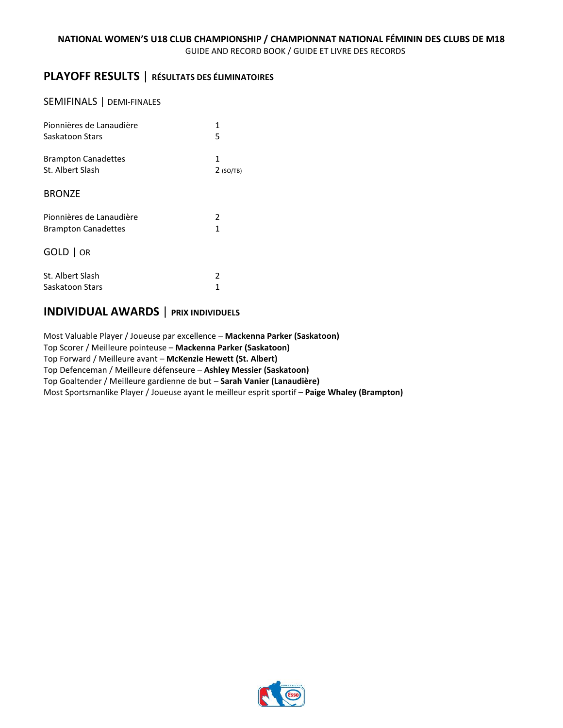# **PLAYOFF RESULTS** | **RÉSULTATS DES ÉLIMINATOIRES**

#### SEMIFINALS | DEMI-FINALES

| Pionnières de Lanaudière   | 1           |
|----------------------------|-------------|
| Saskatoon Stars            | 5           |
| <b>Brampton Canadettes</b> | 1           |
| St. Albert Slash           | $2$ (SO/TB) |
| <b>BRONZE</b>              |             |
| Pionnières de Lanaudière   | 2           |
| <b>Brampton Canadettes</b> | 1           |
| GOLD   OR                  |             |
| St. Albert Slash           | 2           |
| Saskatoon Stars            | 1           |

# **INDIVIDUAL AWARDS** | **PRIX INDIVIDUELS**

Most Valuable Player / Joueuse par excellence – **Mackenna Parker (Saskatoon)** Top Scorer / Meilleure pointeuse – **Mackenna Parker (Saskatoon)** Top Forward / Meilleure avant – **McKenzie Hewett (St. Albert)** Top Defenceman / Meilleure défenseure – **Ashley Messier (Saskatoon)** Top Goaltender / Meilleure gardienne de but – **Sarah Vanier (Lanaudière)** Most Sportsmanlike Player / Joueuse ayant le meilleur esprit sportif – **Paige Whaley (Brampton)**

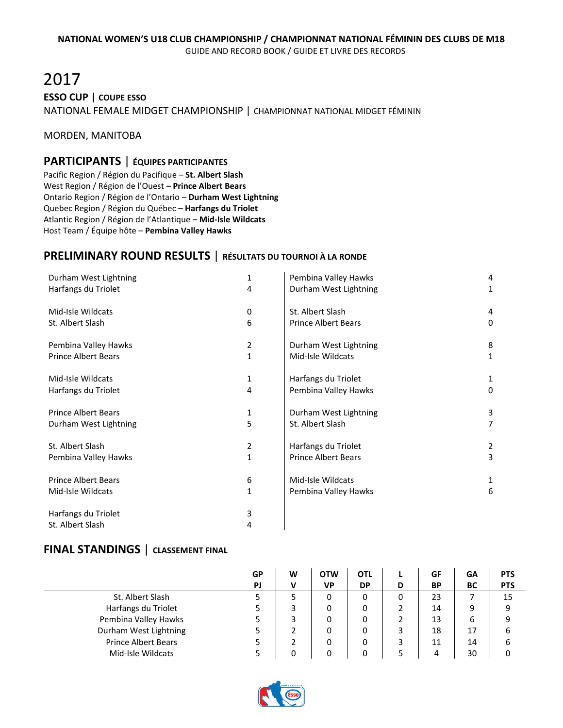# 2017 **ESSO CUP | COUPE ESSO** NATIONAL FEMALE MIDGET CHAMPIONSHIP | CHAMPIONNAT NATIONAL MIDGET FÉMININ

#### MORDEN, MANITOBA

#### **PARTICIPANTS** | **ÉQUIPES PARTICIPANTES**

Pacific Region / Région du Pacifique – **St. Albert Slash** West Region / Région de l'Ouest **– Prince Albert Bears** Ontario Region / Région de l'Ontario – **Durham West Lightning** Quebec Region / Région du Québec – **Harfangs du Triolet** Atlantic Region / Région de l'Atlantique – **Mid-Isle Wildcats** Host Team / Équipe hôte – **Pembina Valley Hawks**

# **PRELIMINARY ROUND RESULTS** | **RÉSULTATS DU TOURNOI À LA RONDE**

| Durham West Lightning      | 1              | Pembina Valley Hawks       | 4 |
|----------------------------|----------------|----------------------------|---|
| Harfangs du Triolet        | 4              | Durham West Lightning      | 1 |
| Mid-Isle Wildcats          | 0              | St. Albert Slash           | 4 |
| St. Albert Slash           | 6              | <b>Prince Albert Bears</b> | 0 |
| Pembina Valley Hawks       | 2              | Durham West Lightning      | 8 |
| <b>Prince Albert Bears</b> | 1              | Mid-Isle Wildcats          | 1 |
| Mid-Isle Wildcats          | 1              | Harfangs du Triolet        |   |
| Harfangs du Triolet        | 4              | Pembina Valley Hawks       | 0 |
| <b>Prince Albert Bears</b> | 1              | Durham West Lightning      | 3 |
| Durham West Lightning      | 5              | St. Albert Slash           |   |
| St. Albert Slash           | $\overline{2}$ | Harfangs du Triolet        | 2 |
| Pembina Valley Hawks       | 1              | <b>Prince Albert Bears</b> | 3 |
| <b>Prince Albert Bears</b> | 6              | Mid-Isle Wildcats          | 1 |
| Mid-Isle Wildcats          | 1              | Pembina Valley Hawks       | 6 |
| Harfangs du Triolet        | 3              |                            |   |
| St. Albert Slash           | 4              |                            |   |

|                            | GP | W | <b>OTW</b> | <b>OTL</b> |   | GF        | <b>GA</b> | <b>PTS</b> |
|----------------------------|----|---|------------|------------|---|-----------|-----------|------------|
|                            | PJ | v | <b>VP</b>  | <b>DP</b>  | D | <b>BP</b> | BC        | <b>PTS</b> |
| St. Albert Slash           |    |   | 0          |            | 0 | 23        |           | 15         |
| Harfangs du Triolet        |    |   | 0          |            |   | 14        | 9         | 9          |
| Pembina Valley Hawks       |    |   | 0          |            |   | 13        | 6         | 9          |
| Durham West Lightning      |    |   | 0          | 0          |   | 18        | 17        | 6          |
| <b>Prince Albert Bears</b> |    |   | 0          |            |   | 11        | 14        | 6          |
| Mid-Isle Wildcats          |    |   |            |            |   |           | 30        |            |

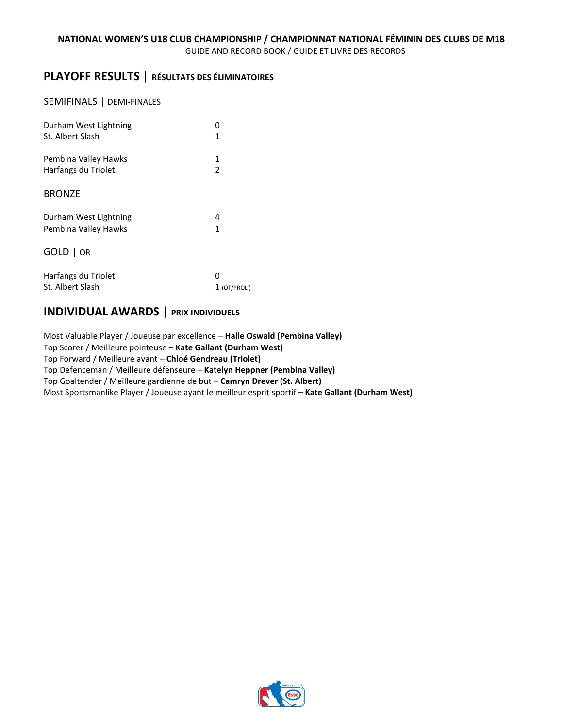# **PLAYOFF RESULTS** | **RÉSULTATS DES ÉLIMINATOIRES**

#### SEMIFINALS | DEMI-FINALES

| Durham West Lightning<br>St. Albert Slash | 1              |
|-------------------------------------------|----------------|
| Pembina Valley Hawks                      | 1              |
| Harfangs du Triolet                       | $\mathfrak{p}$ |
| <b>BRONZE</b>                             |                |
| Durham West Lightning                     | 4              |
| Pembina Valley Hawks                      | 1              |
| GOLD   OR                                 |                |
| Harfangs du Triolet                       | O              |
| St. Albert Slash                          | $1$ (OT/PROL.) |

# **INDIVIDUAL AWARDS** | **PRIX INDIVIDUELS**

Most Valuable Player / Joueuse par excellence – **Halle Oswald (Pembina Valley)** Top Scorer / Meilleure pointeuse – **Kate Gallant (Durham West)** Top Forward / Meilleure avant – **Chloé Gendreau (Triolet)** Top Defenceman / Meilleure défenseure – **Katelyn Heppner (Pembina Valley)** Top Goaltender / Meilleure gardienne de but – **Camryn Drever (St. Albert)** Most Sportsmanlike Player / Joueuse ayant le meilleur esprit sportif – **Kate Gallant (Durham West)**

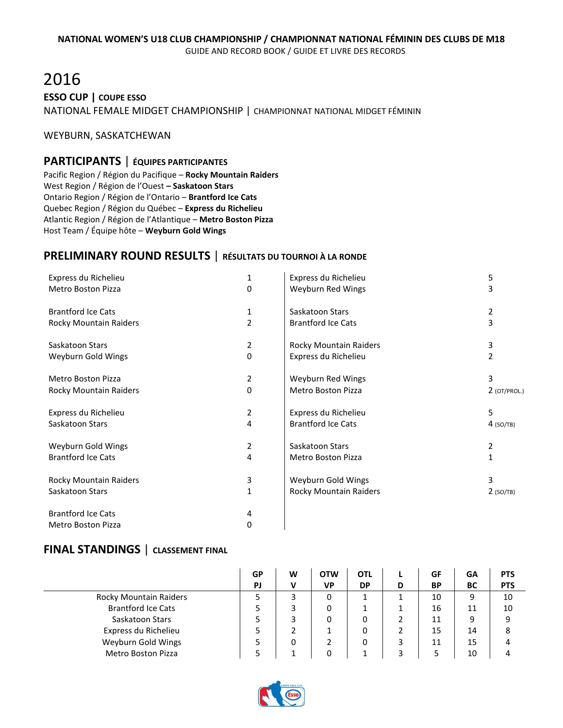# 2016 **ESSO CUP | COUPE ESSO** NATIONAL FEMALE MIDGET CHAMPIONSHIP | CHAMPIONNAT NATIONAL MIDGET FÉMININ

#### WEYBURN, SASKATCHEWAN

# **PARTICIPANTS** | **ÉQUIPES PARTICIPANTES**

Pacific Region / Région du Pacifique – **Rocky Mountain Raiders** West Region / Région de l'Ouest **– Saskatoon Stars** Ontario Region / Région de l'Ontario – **Brantford Ice Cats** Quebec Region / Région du Québec – **Express du Richelieu** Atlantic Region / Région de l'Atlantique – **Metro Boston Pizza** Host Team / Équipe hôte – **Weyburn Gold Wings**

# **PRELIMINARY ROUND RESULTS** | **RÉSULTATS DU TOURNOI À LA RONDE**

| Express du Richelieu      | 1              | Express du Richelieu          | 5              |
|---------------------------|----------------|-------------------------------|----------------|
| Metro Boston Pizza        | 0              | Weyburn Red Wings             | 3              |
| <b>Brantford Ice Cats</b> | 1              | Saskatoon Stars               | 2              |
| Rocky Mountain Raiders    | 2              | <b>Brantford Ice Cats</b>     | 3              |
| Saskatoon Stars           | 2              | Rocky Mountain Raiders        | 3              |
| Weyburn Gold Wings        | 0              | Express du Richelieu          | 2              |
| <b>Metro Boston Pizza</b> | 2              | Weyburn Red Wings             | 3              |
| Rocky Mountain Raiders    | 0              | <b>Metro Boston Pizza</b>     | $2$ (OT/PROL.) |
| Express du Richelieu      | $\overline{2}$ | Express du Richelieu          | 5              |
| Saskatoon Stars           | 4              | <b>Brantford Ice Cats</b>     | $4$ (SO/TB)    |
| Weyburn Gold Wings        | 2              | Saskatoon Stars               | 2              |
| <b>Brantford Ice Cats</b> | 4              | Metro Boston Pizza            | 1              |
| Rocky Mountain Raiders    | 3              | Weyburn Gold Wings            | 3              |
| Saskatoon Stars           | $\mathbf{1}$   | <b>Rocky Mountain Raiders</b> | $2$ (SO/TB)    |
| <b>Brantford Ice Cats</b> | 4              |                               |                |
| Metro Boston Pizza        | 0              |                               |                |

|                           | GP | W | <b>OTW</b> | OTL       |   | GF        | GA | <b>PTS</b> |
|---------------------------|----|---|------------|-----------|---|-----------|----|------------|
|                           | PJ | v | VP         | <b>DP</b> | D | <b>BP</b> | ВC | <b>PTS</b> |
| Rocky Mountain Raiders    |    | 3 | 0          |           |   | 10        | 9  | 10         |
| <b>Brantford Ice Cats</b> |    |   | 0          |           |   | 16        | 11 | 10         |
| Saskatoon Stars           |    | 3 | 0          | 0         |   | 11        | 9  | 9          |
| Express du Richelieu      |    |   |            | 0         |   | 15        | 14 | 8          |
| Weyburn Gold Wings        |    | 0 |            | 0         |   | 11        | 15 | 4          |
| <b>Metro Boston Pizza</b> |    |   | 0          |           |   |           | 10 |            |

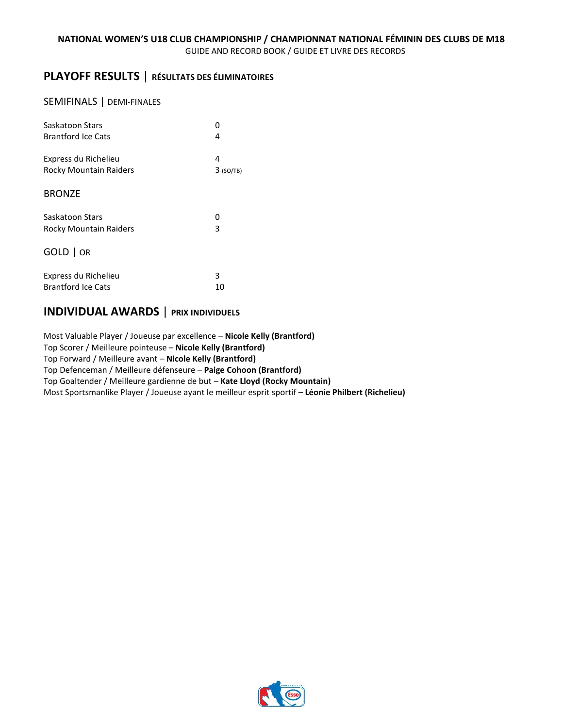# **PLAYOFF RESULTS** | **RÉSULTATS DES ÉLIMINATOIRES**

#### SEMIFINALS | DEMI-FINALES

| Saskatoon Stars               | n           |
|-------------------------------|-------------|
| <b>Brantford Ice Cats</b>     | 4           |
| Express du Richelieu          | 4           |
| Rocky Mountain Raiders        | $3$ (SO/TB) |
| <b>BRONZE</b>                 |             |
| Saskatoon Stars               | ი           |
| <b>Rocky Mountain Raiders</b> | 3           |
| $GOLD$   OR                   |             |
| Express du Richelieu          | 3           |
| <b>Brantford Ice Cats</b>     | 10          |

# **INDIVIDUAL AWARDS** | **PRIX INDIVIDUELS**

Most Valuable Player / Joueuse par excellence – **Nicole Kelly (Brantford)** Top Scorer / Meilleure pointeuse – **Nicole Kelly (Brantford)** Top Forward / Meilleure avant – **Nicole Kelly (Brantford)** Top Defenceman / Meilleure défenseure – **Paige Cohoon (Brantford)** Top Goaltender / Meilleure gardienne de but – **Kate Lloyd (Rocky Mountain)** Most Sportsmanlike Player / Joueuse ayant le meilleur esprit sportif – **Léonie Philbert (Richelieu)**

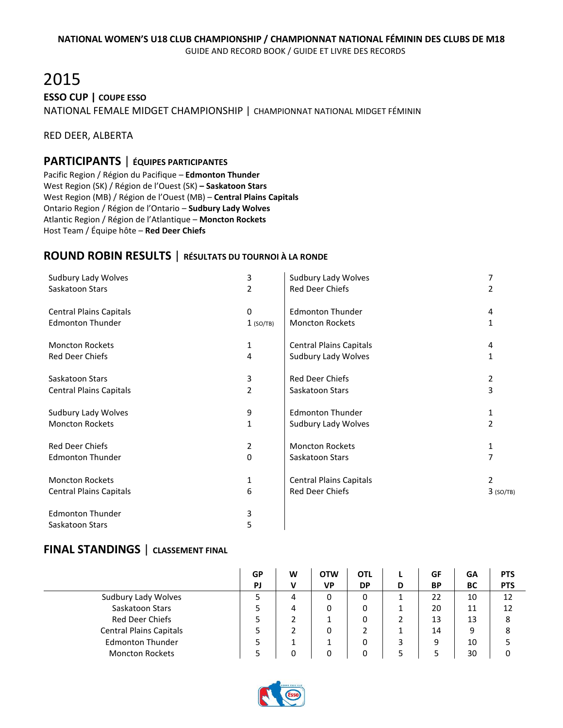# 2015 **ESSO CUP | COUPE ESSO** NATIONAL FEMALE MIDGET CHAMPIONSHIP | CHAMPIONNAT NATIONAL MIDGET FÉMININ

RED DEER, ALBERTA

### **PARTICIPANTS** | **ÉQUIPES PARTICIPANTES**

Pacific Region / Région du Pacifique – **Edmonton Thunder** West Region (SK) / Région de l'Ouest (SK) **– Saskatoon Stars** West Region (MB) / Région de l'Ouest (MB) – **Central Plains Capitals** Ontario Region / Région de l'Ontario – **Sudbury Lady Wolves** Atlantic Region / Région de l'Atlantique – **Moncton Rockets** Host Team / Équipe hôte – **Red Deer Chiefs**

### **ROUND ROBIN RESULTS** | **RÉSULTATS DU TOURNOI À LA RONDE**

| Sudbury Lady Wolves            | 3              | Sudbury Lady Wolves            | 7           |
|--------------------------------|----------------|--------------------------------|-------------|
| Saskatoon Stars                | $\overline{2}$ | Red Deer Chiefs                | 2           |
| <b>Central Plains Capitals</b> | 0              | <b>Edmonton Thunder</b>        | 4           |
| <b>Edmonton Thunder</b>        | $1$ (SO/TB)    | <b>Moncton Rockets</b>         | 1           |
| <b>Moncton Rockets</b>         | 1              | <b>Central Plains Capitals</b> | 4           |
| Red Deer Chiefs                | 4              | Sudbury Lady Wolves            | 1           |
| Saskatoon Stars                | 3              | <b>Red Deer Chiefs</b>         | 2           |
| <b>Central Plains Capitals</b> | $\overline{2}$ | Saskatoon Stars                | 3           |
| Sudbury Lady Wolves            | 9              | <b>Edmonton Thunder</b>        | 1           |
| <b>Moncton Rockets</b>         | 1              | Sudbury Lady Wolves            | 2           |
| <b>Red Deer Chiefs</b>         | 2              | <b>Moncton Rockets</b>         | 1           |
| <b>Edmonton Thunder</b>        | 0              | Saskatoon Stars                | 7           |
| <b>Moncton Rockets</b>         | 1              | <b>Central Plains Capitals</b> | 2           |
| <b>Central Plains Capitals</b> | 6              | <b>Red Deer Chiefs</b>         | $3$ (SO/TB) |
| <b>Edmonton Thunder</b>        | 3              |                                |             |
| Saskatoon Stars                | 5              |                                |             |

|                                | GP | W | <b>OTW</b> | OTL       |   | GF        | GΑ | <b>PTS</b> |
|--------------------------------|----|---|------------|-----------|---|-----------|----|------------|
|                                | PJ | v | VP         | <b>DP</b> | D | <b>BP</b> | BC | <b>PTS</b> |
| Sudbury Lady Wolves            |    | 4 | 0          | 0         |   | 22        | 10 | 12         |
| Saskatoon Stars                |    | 4 | 0          | 0         |   | 20        | 11 | 12         |
| <b>Red Deer Chiefs</b>         |    |   |            | 0         |   | 13        | 13 | 8          |
| <b>Central Plains Capitals</b> |    |   | 0          |           |   | 14        | 9  | 8          |
| <b>Edmonton Thunder</b>        |    |   |            | 0         |   | q         | 10 |            |
| <b>Moncton Rockets</b>         |    |   | 0          |           |   |           | 30 |            |

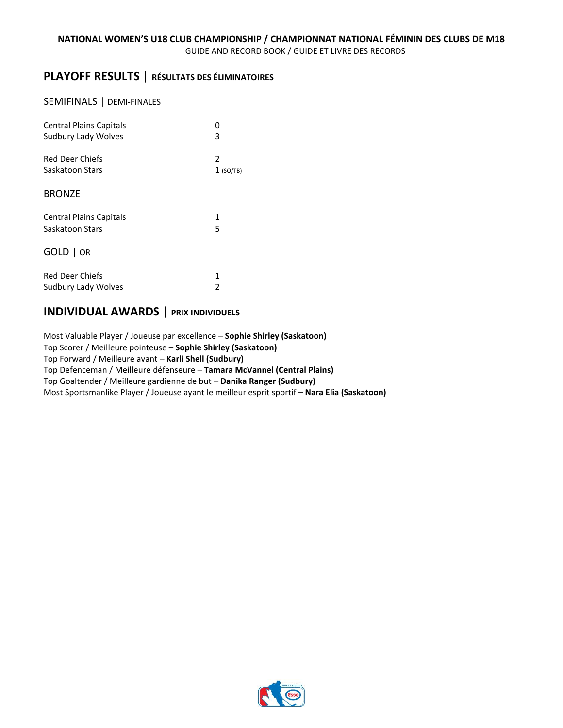# **PLAYOFF RESULTS** | **RÉSULTATS DES ÉLIMINATOIRES**

#### SEMIFINALS | DEMI-FINALES

| <b>Central Plains Capitals</b> | n           |
|--------------------------------|-------------|
| Sudbury Lady Wolves            | 3           |
| <b>Red Deer Chiefs</b>         | 2           |
| Saskatoon Stars                | $1$ (SO/TB) |
| <b>BRONZE</b>                  |             |
| <b>Central Plains Capitals</b> | 1           |
| Saskatoon Stars                | 5           |
| $GOLD$   OR                    |             |
| <b>Red Deer Chiefs</b>         | 1           |
| Sudbury Lady Wolves            | 2           |

# **INDIVIDUAL AWARDS** | **PRIX INDIVIDUELS**

Most Valuable Player / Joueuse par excellence – **Sophie Shirley (Saskatoon)** Top Scorer / Meilleure pointeuse – **Sophie Shirley (Saskatoon)** Top Forward / Meilleure avant – **Karli Shell (Sudbury)** Top Defenceman / Meilleure défenseure – **Tamara McVannel (Central Plains)** Top Goaltender / Meilleure gardienne de but – **Danika Ranger (Sudbury)** Most Sportsmanlike Player / Joueuse ayant le meilleur esprit sportif – **Nara Elia (Saskatoon)**

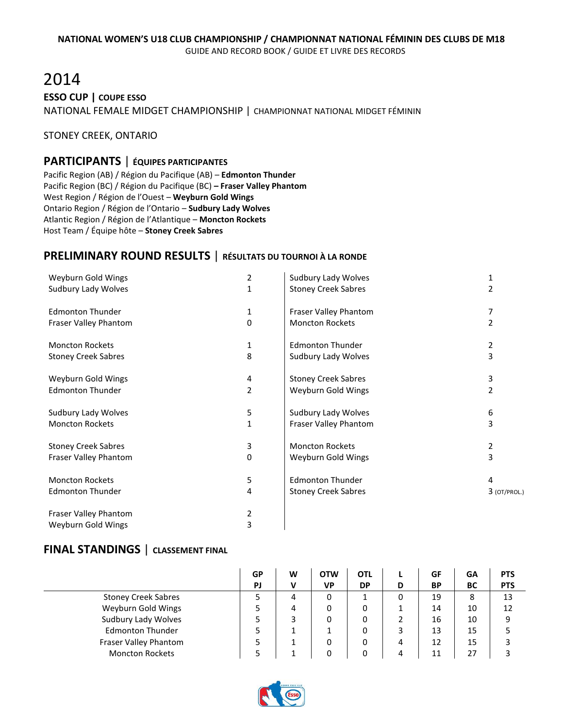# 2014 **ESSO CUP | COUPE ESSO** NATIONAL FEMALE MIDGET CHAMPIONSHIP | CHAMPIONNAT NATIONAL MIDGET FÉMININ

#### STONEY CREEK, ONTARIO

# **PARTICIPANTS** | **ÉQUIPES PARTICIPANTES**

Pacific Region (AB) / Région du Pacifique (AB) – **Edmonton Thunder** Pacific Region (BC) / Région du Pacifique (BC) **– Fraser Valley Phantom** West Region / Région de l'Ouest – **Weyburn Gold Wings** Ontario Region / Région de l'Ontario – **Sudbury Lady Wolves** Atlantic Region / Région de l'Atlantique – **Moncton Rockets** Host Team / Équipe hôte – **Stoney Creek Sabres**

# **PRELIMINARY ROUND RESULTS** | **RÉSULTATS DU TOURNOI À LA RONDE**

| Weyburn Gold Wings         | 2              | Sudbury Lady Wolves        | 1              |
|----------------------------|----------------|----------------------------|----------------|
| Sudbury Lady Wolves        | $\mathbf{1}$   | <b>Stoney Creek Sabres</b> | 2              |
| <b>Edmonton Thunder</b>    | 1              | Fraser Valley Phantom      | 7              |
| Fraser Valley Phantom      | 0              | <b>Moncton Rockets</b>     | $\overline{2}$ |
| <b>Moncton Rockets</b>     | 1              | <b>Edmonton Thunder</b>    | 2              |
| <b>Stoney Creek Sabres</b> | 8              | Sudbury Lady Wolves        | 3              |
| Weyburn Gold Wings         | 4              | <b>Stoney Creek Sabres</b> | 3              |
| <b>Edmonton Thunder</b>    | $\overline{2}$ | Weyburn Gold Wings         | 2              |
| Sudbury Lady Wolves        | 5              | Sudbury Lady Wolves        | 6              |
| <b>Moncton Rockets</b>     | 1              | Fraser Valley Phantom      | 3              |
| <b>Stoney Creek Sabres</b> | 3              | <b>Moncton Rockets</b>     | 2              |
| Fraser Valley Phantom      | 0              | Weyburn Gold Wings         | 3              |
| <b>Moncton Rockets</b>     | 5              | <b>Edmonton Thunder</b>    | 4              |
| <b>Edmonton Thunder</b>    | 4              | <b>Stoney Creek Sabres</b> | $3$ (OT/PROL.) |
| Fraser Valley Phantom      | 2              |                            |                |
| Weyburn Gold Wings         | 3              |                            |                |

|                            | GP        | W | <b>OTW</b> | OTL       |   | GF        | GΑ | <b>PTS</b> |
|----------------------------|-----------|---|------------|-----------|---|-----------|----|------------|
|                            | <b>PJ</b> | v | <b>VP</b>  | <b>DP</b> | D | <b>BP</b> | BC | <b>PTS</b> |
| <b>Stoney Creek Sabres</b> |           | 4 | 0          |           |   | 19        | 8  | 13         |
| Weyburn Gold Wings         |           | 4 | 0          | 0         |   | 14        | 10 | 12         |
| Sudbury Lady Wolves        |           |   | 0          | 0         |   | 16        | 10 | 9          |
| <b>Edmonton Thunder</b>    |           |   |            | 0         |   | 13        | 15 |            |
| Fraser Valley Phantom      |           |   | 0          | 0         | 4 | 12        | 15 |            |
| <b>Moncton Rockets</b>     |           |   |            | 0         | 4 | 11        | 27 |            |

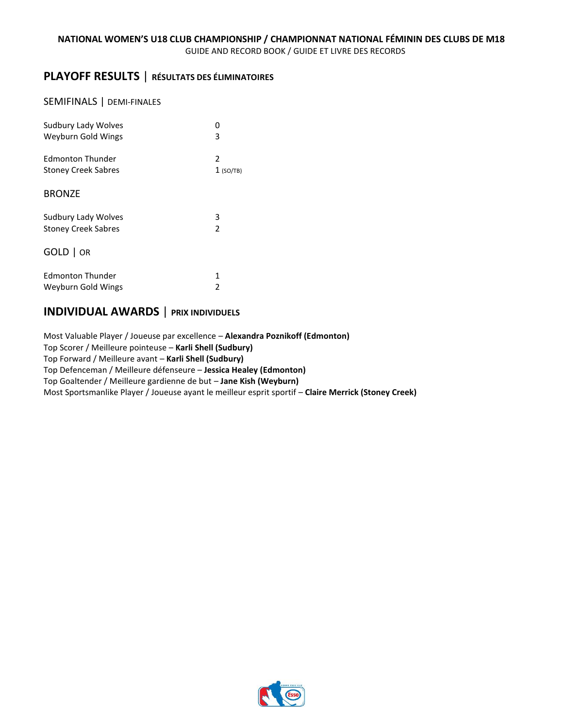# **PLAYOFF RESULTS** | **RÉSULTATS DES ÉLIMINATOIRES**

#### SEMIFINALS | DEMI-FINALES

| Sudbury Lady Wolves        | n             |
|----------------------------|---------------|
| Weyburn Gold Wings         | 3             |
| Edmonton Thunder           | 2             |
| <b>Stoney Creek Sabres</b> | $1$ (SO/TB)   |
| <b>BRONZE</b>              |               |
| Sudbury Lady Wolves        | 3             |
| <b>Stoney Creek Sabres</b> | $\mathfrak z$ |
| GOLD   OR                  |               |
| <b>Edmonton Thunder</b>    | 1             |
| Weyburn Gold Wings         | 2             |

# **INDIVIDUAL AWARDS** | **PRIX INDIVIDUELS**

Most Valuable Player / Joueuse par excellence – **Alexandra Poznikoff (Edmonton)** Top Scorer / Meilleure pointeuse – **Karli Shell (Sudbury)** Top Forward / Meilleure avant – **Karli Shell (Sudbury)** Top Defenceman / Meilleure défenseure – **Jessica Healey (Edmonton)** Top Goaltender / Meilleure gardienne de but – **Jane Kish (Weyburn)** Most Sportsmanlike Player / Joueuse ayant le meilleur esprit sportif – **Claire Merrick (Stoney Creek)**

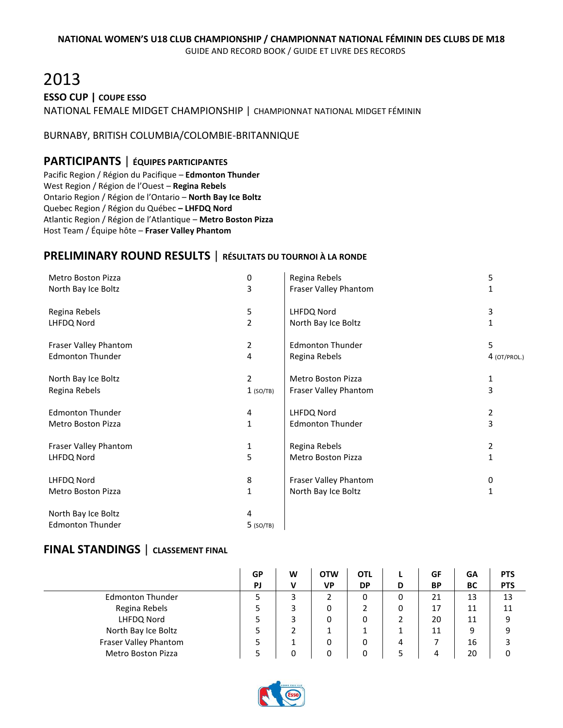# 2013 **ESSO CUP | COUPE ESSO**

NATIONAL FEMALE MIDGET CHAMPIONSHIP | CHAMPIONNAT NATIONAL MIDGET FÉMININ

#### BURNABY, BRITISH COLUMBIA/COLOMBIE-BRITANNIQUE

# **PARTICIPANTS** | **ÉQUIPES PARTICIPANTES**

Pacific Region / Région du Pacifique – **Edmonton Thunder** West Region / Région de l'Ouest – **Regina Rebels** Ontario Region / Région de l'Ontario – **North Bay Ice Boltz** Quebec Region / Région du Québec **– LHFDQ Nord** Atlantic Region / Région de l'Atlantique – **Metro Boston Pizza** Host Team / Équipe hôte – **Fraser Valley Phantom**

# **PRELIMINARY ROUND RESULTS** | **RÉSULTATS DU TOURNOI À LA RONDE**

| <b>Metro Boston Pizza</b> | 0              | Regina Rebels             | 5            |
|---------------------------|----------------|---------------------------|--------------|
| North Bay Ice Boltz       | 3              | Fraser Valley Phantom     | 1            |
| Regina Rebels             | 5              | LHFDQ Nord                | 3            |
| LHFDQ Nord                | $\overline{2}$ | North Bay Ice Boltz       |              |
| Fraser Valley Phantom     | 2              | <b>Edmonton Thunder</b>   | 5.           |
| <b>Edmonton Thunder</b>   | 4              | Regina Rebels             | 4 (OT/PROL.) |
| North Bay Ice Boltz       | $\overline{2}$ | Metro Boston Pizza        | 1            |
| Regina Rebels             | $1$ (SO/TB)    | Fraser Valley Phantom     | 3            |
| <b>Edmonton Thunder</b>   | 4              | LHFDQ Nord                | 2            |
| Metro Boston Pizza        | 1              | <b>Edmonton Thunder</b>   | 3            |
| Fraser Valley Phantom     | 1              | Regina Rebels             | 2            |
| LHFDQ Nord                | 5              | <b>Metro Boston Pizza</b> | 1            |
| LHFDQ Nord                | 8              | Fraser Valley Phantom     | 0            |
| Metro Boston Pizza        | 1              | North Bay Ice Boltz       | 1            |
| North Bay Ice Boltz       | 4              |                           |              |
| <b>Edmonton Thunder</b>   | $5$ (SO/TB)    |                           |              |

|                           | GP        | W | <b>OTW</b> | <b>OTL</b> |   | GF | GΑ        | <b>PTS</b> |
|---------------------------|-----------|---|------------|------------|---|----|-----------|------------|
|                           | <b>PJ</b> | v | VP         | <b>DP</b>  | D | BP | <b>BC</b> | <b>PTS</b> |
| <b>Edmonton Thunder</b>   |           | 3 |            | 0          | 0 | 21 | 13        | 13         |
| Regina Rebels             |           |   | 0          |            | 0 | 17 | 11        | 11         |
| LHFDQ Nord                |           |   | 0          | 0          | 2 | 20 | 11        | 9          |
| North Bay Ice Boltz       |           |   |            |            |   | 11 | 9         | 9          |
| Fraser Valley Phantom     |           |   | 0          | 0          | 4 |    | 16        |            |
| <b>Metro Boston Pizza</b> |           |   | 0          | 0          |   | 4  | 20        | 0          |

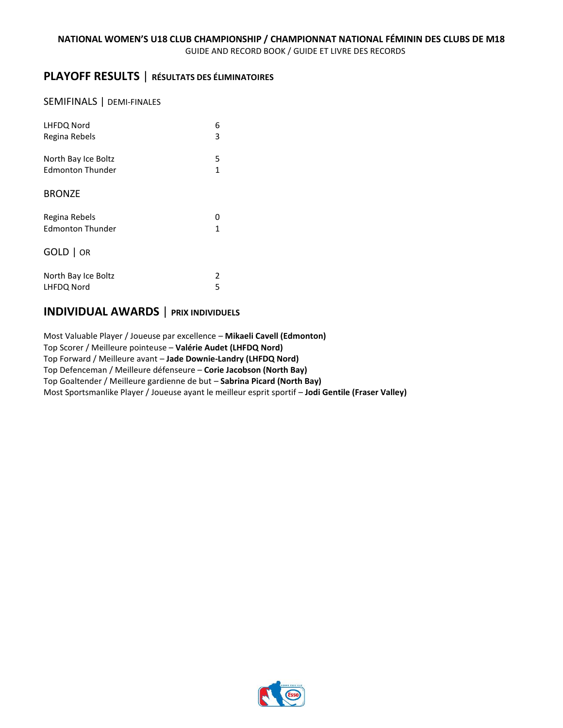# **PLAYOFF RESULTS** | **RÉSULTATS DES ÉLIMINATOIRES**

#### SEMIFINALS | DEMI-FINALES

| LHFDQ Nord              | 6 |
|-------------------------|---|
| Regina Rebels           | 3 |
| North Bay Ice Boltz     | 5 |
| <b>Edmonton Thunder</b> | 1 |
| <b>BRONZE</b>           |   |
| Regina Rebels           | Ω |
| <b>Edmonton Thunder</b> | 1 |
| GOLD   OR               |   |
| North Bay Ice Boltz     | 2 |
| LHFDQ Nord              | 5 |

# **INDIVIDUAL AWARDS** | **PRIX INDIVIDUELS**

Most Valuable Player / Joueuse par excellence – **Mikaeli Cavell (Edmonton)** Top Scorer / Meilleure pointeuse – **Valérie Audet (LHFDQ Nord)** Top Forward / Meilleure avant – **Jade Downie-Landry (LHFDQ Nord)** Top Defenceman / Meilleure défenseure – **Corie Jacobson (North Bay)** Top Goaltender / Meilleure gardienne de but – **Sabrina Picard (North Bay)** Most Sportsmanlike Player / Joueuse ayant le meilleur esprit sportif – **Jodi Gentile (Fraser Valley)**

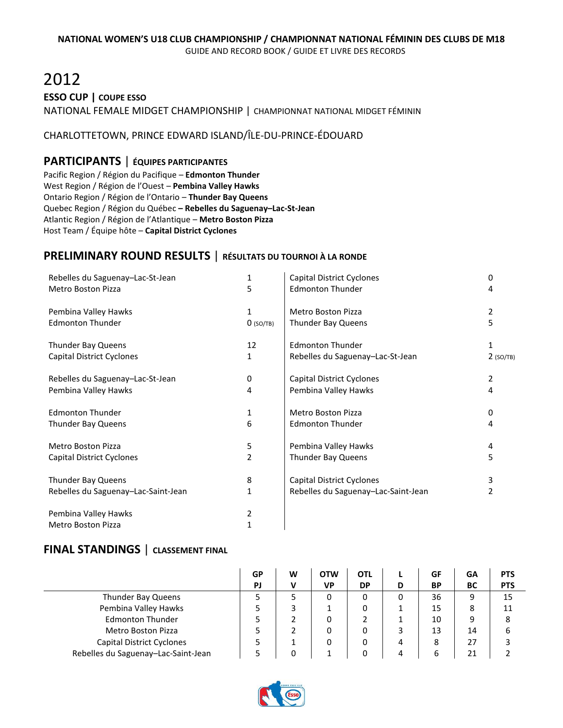# 2012 **ESSO CUP | COUPE ESSO** NATIONAL FEMALE MIDGET CHAMPIONSHIP | CHAMPIONNAT NATIONAL MIDGET FÉMININ

### CHARLOTTETOWN, PRINCE EDWARD ISLAND/ÎLE-DU-PRINCE-ÉDOUARD

# **PARTICIPANTS** | **ÉQUIPES PARTICIPANTES**

Pacific Region / Région du Pacifique – **Edmonton Thunder** West Region / Région de l'Ouest – **Pembina Valley Hawks** Ontario Region / Région de l'Ontario – **Thunder Bay Queens** Quebec Region / Région du Québec **– Rebelles du Saguenay–Lac-St-Jean** Atlantic Region / Région de l'Atlantique – **Metro Boston Pizza** Host Team / Équipe hôte – **Capital District Cyclones**

# **PRELIMINARY ROUND RESULTS** | **RÉSULTATS DU TOURNOI À LA RONDE**

| Rebelles du Saguenay-Lac-St-Jean    | 1           | <b>Capital District Cyclones</b>    | 0           |
|-------------------------------------|-------------|-------------------------------------|-------------|
| <b>Metro Boston Pizza</b>           | 5           | <b>Edmonton Thunder</b>             | 4           |
| Pembina Valley Hawks                | 1           | <b>Metro Boston Pizza</b>           | 2           |
| <b>Edmonton Thunder</b>             | $0$ (SO/TB) | Thunder Bay Queens                  | 5           |
| Thunder Bay Queens                  | 12          | <b>Edmonton Thunder</b>             | 1           |
| Capital District Cyclones           | 1           | Rebelles du Saguenay-Lac-St-Jean    | $2$ (SO/TB) |
| Rebelles du Saguenay-Lac-St-Jean    | 0           | <b>Capital District Cyclones</b>    | 2           |
| Pembina Valley Hawks                | 4           | Pembina Valley Hawks                | 4           |
| <b>Edmonton Thunder</b>             | 1           | Metro Boston Pizza                  | 0           |
| Thunder Bay Queens                  | 6           | <b>Edmonton Thunder</b>             | 4           |
| <b>Metro Boston Pizza</b>           | 5           | Pembina Valley Hawks                | 4           |
| Capital District Cyclones           | 2           | Thunder Bay Queens                  | 5           |
| Thunder Bay Queens                  | 8           | Capital District Cyclones           | 3           |
| Rebelles du Saguenay-Lac-Saint-Jean | 1           | Rebelles du Saguenay-Lac-Saint-Jean | 2           |
| Pembina Valley Hawks                | 2           |                                     |             |
| <b>Metro Boston Pizza</b>           | 1           |                                     |             |

|                                     | GP | W | <b>OTW</b> | <b>OTL</b> |   | GF        | GA | <b>PTS</b> |
|-------------------------------------|----|---|------------|------------|---|-----------|----|------------|
|                                     | PJ |   | <b>VP</b>  | <b>DP</b>  | D | <b>BP</b> | BC | <b>PTS</b> |
| Thunder Bay Queens                  |    |   |            | 0          | 0 | 36        | 9  | 15         |
| Pembina Valley Hawks                |    |   |            | 0          |   | 15        | 8  | 11         |
| <b>Edmonton Thunder</b>             |    |   |            |            |   | 10        | 9  | 8          |
| <b>Metro Boston Pizza</b>           |    |   |            | 0          |   | 13        | 14 | 6          |
| Capital District Cyclones           |    |   |            | 0          |   | 8         | 27 |            |
| Rebelles du Saguenay-Lac-Saint-Jean |    | 0 |            | 0          |   | b         | 21 |            |

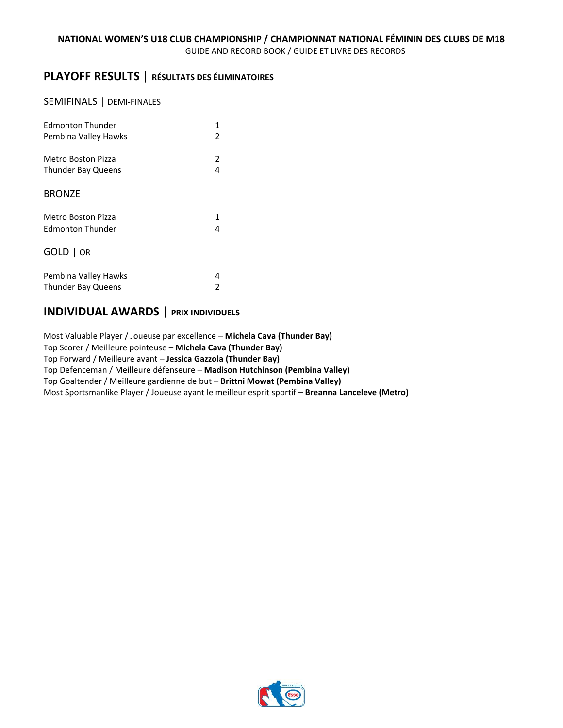# **PLAYOFF RESULTS** | **RÉSULTATS DES ÉLIMINATOIRES**

#### SEMIFINALS | DEMI-FINALES

| <b>Edmonton Thunder</b>   | 1             |
|---------------------------|---------------|
| Pembina Valley Hawks      | 2             |
| Metro Boston Pizza        | 2             |
| <b>Thunder Bay Queens</b> | 4             |
| <b>BRONZE</b>             |               |
| Metro Boston Pizza        | 1             |
| Edmonton Thunder          | 4             |
| GOLD   OR                 |               |
| Pembina Valley Hawks      | 4             |
| <b>Thunder Bay Queens</b> | $\mathfrak z$ |

# **INDIVIDUAL AWARDS** | **PRIX INDIVIDUELS**

Most Valuable Player / Joueuse par excellence – **Michela Cava (Thunder Bay)** Top Scorer / Meilleure pointeuse – **Michela Cava (Thunder Bay)** Top Forward / Meilleure avant – **Jessica Gazzola (Thunder Bay)** Top Defenceman / Meilleure défenseure – **Madison Hutchinson (Pembina Valley)** Top Goaltender / Meilleure gardienne de but – **Brittni Mowat (Pembina Valley)** Most Sportsmanlike Player / Joueuse ayant le meilleur esprit sportif – **Breanna Lanceleve (Metro)**

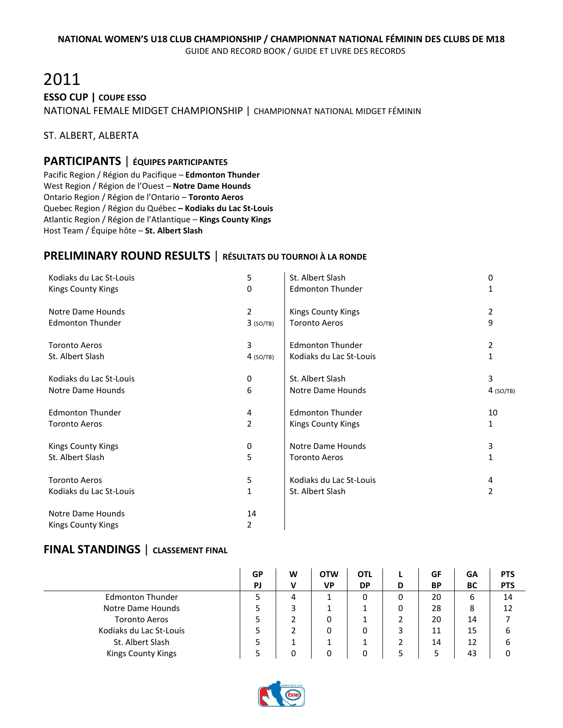# 2011 **ESSO CUP | COUPE ESSO** NATIONAL FEMALE MIDGET CHAMPIONSHIP | CHAMPIONNAT NATIONAL MIDGET FÉMININ

#### ST. ALBERT, ALBERTA

#### **PARTICIPANTS** | **ÉQUIPES PARTICIPANTES**

Pacific Region / Région du Pacifique – **Edmonton Thunder** West Region / Région de l'Ouest – **Notre Dame Hounds** Ontario Region / Région de l'Ontario – **Toronto Aeros** Quebec Region / Région du Québec **– Kodiaks du Lac St-Louis** Atlantic Region / Région de l'Atlantique – **Kings County Kings** Host Team / Équipe hôte – **St. Albert Slash**

# **PRELIMINARY ROUND RESULTS** | **RÉSULTATS DU TOURNOI À LA RONDE**

| Kodiaks du Lac St-Louis   | 5              | St. Albert Slash        | 0            |
|---------------------------|----------------|-------------------------|--------------|
| <b>Kings County Kings</b> | 0              | <b>Edmonton Thunder</b> | 1            |
| Notre Dame Hounds         | 2              | Kings County Kings      | 2            |
| <b>Edmonton Thunder</b>   | $3$ (SO/TB)    | <b>Toronto Aeros</b>    | 9            |
| <b>Toronto Aeros</b>      | 3              | <b>Edmonton Thunder</b> | 2            |
| St. Albert Slash          | $4$ (SO/TB)    | Kodiaks du Lac St-Louis | $\mathbf{1}$ |
| Kodiaks du Lac St-Louis   | 0              | St. Albert Slash        | 3            |
| Notre Dame Hounds         | 6              | Notre Dame Hounds       | $4$ (SO/TB)  |
| <b>Edmonton Thunder</b>   | 4              | <b>Edmonton Thunder</b> | 10           |
| <b>Toronto Aeros</b>      | $\overline{2}$ | Kings County Kings      | 1            |
| <b>Kings County Kings</b> | 0              | Notre Dame Hounds       | 3            |
| St. Albert Slash          | 5              | <b>Toronto Aeros</b>    | 1            |
| <b>Toronto Aeros</b>      | 5              | Kodiaks du Lac St-Louis | 4            |
| Kodiaks du Lac St-Louis   | 1              | St. Albert Slash        | 2            |
| Notre Dame Hounds         | 14             |                         |              |
| <b>Kings County Kings</b> | 2              |                         |              |

|                           | GP | W | <b>OTW</b> | <b>OTL</b> |   | GF        | GA | <b>PTS</b> |
|---------------------------|----|---|------------|------------|---|-----------|----|------------|
|                           | PJ | v | <b>VP</b>  | <b>DP</b>  | D | <b>BP</b> | BC | <b>PTS</b> |
| <b>Edmonton Thunder</b>   |    | 4 |            |            | 0 | 20        | 6  | 14         |
| Notre Dame Hounds         |    | 3 |            |            | 0 | 28        | 8  | 12         |
| <b>Toronto Aeros</b>      |    |   | 0          |            |   | 20        | 14 |            |
| Kodiaks du Lac St-Louis   |    |   | 0          | 0          |   | 11        | 15 | 6          |
| St. Albert Slash          |    |   |            |            |   | 14        | 12 | 6          |
| <b>Kings County Kings</b> |    | 0 | ŋ          |            |   |           | 43 |            |

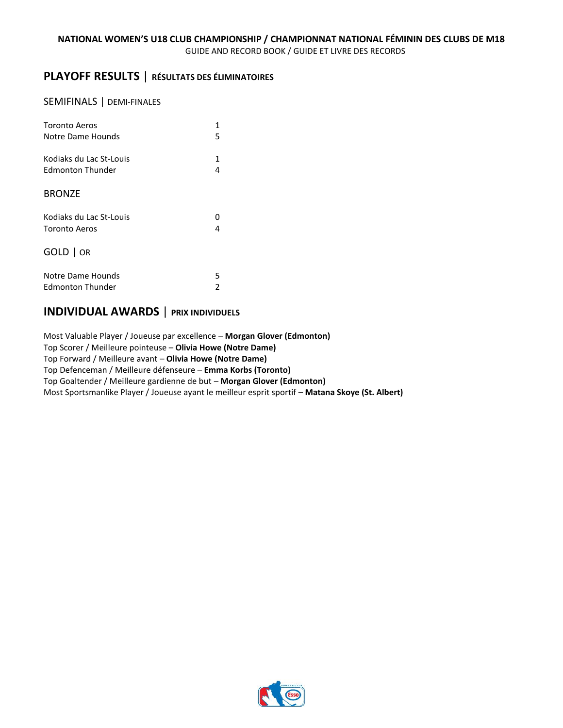# **PLAYOFF RESULTS** | **RÉSULTATS DES ÉLIMINATOIRES**

#### SEMIFINALS | DEMI-FINALES

| <b>Toronto Aeros</b>    | 1 |
|-------------------------|---|
| Notre Dame Hounds       | 5 |
| Kodiaks du Lac St-Louis | 1 |
| Edmonton Thunder        | 4 |
| <b>BRONZE</b>           |   |
| Kodiaks du Lac St-Louis | n |
| <b>Toronto Aeros</b>    | 4 |
| GOLD   OR               |   |
| Notre Dame Hounds       | 5 |
| <b>Edmonton Thunder</b> | 2 |

# **INDIVIDUAL AWARDS** | **PRIX INDIVIDUELS**

Most Valuable Player / Joueuse par excellence – **Morgan Glover (Edmonton)** Top Scorer / Meilleure pointeuse – **Olivia Howe (Notre Dame)** Top Forward / Meilleure avant – **Olivia Howe (Notre Dame)** Top Defenceman / Meilleure défenseure – **Emma Korbs (Toronto)** Top Goaltender / Meilleure gardienne de but – **Morgan Glover (Edmonton)** Most Sportsmanlike Player / Joueuse ayant le meilleur esprit sportif – **Matana Skoye (St. Albert)**

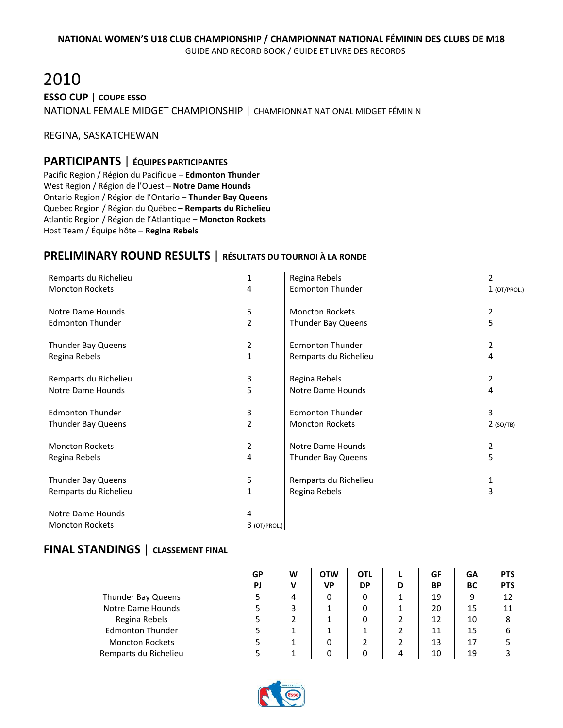# 2010 **ESSO CUP | COUPE ESSO** NATIONAL FEMALE MIDGET CHAMPIONSHIP | CHAMPIONNAT NATIONAL MIDGET FÉMININ

REGINA, SASKATCHEWAN

### **PARTICIPANTS** | **ÉQUIPES PARTICIPANTES**

Pacific Region / Région du Pacifique – **Edmonton Thunder** West Region / Région de l'Ouest – **Notre Dame Hounds** Ontario Region / Région de l'Ontario – **Thunder Bay Queens** Quebec Region / Région du Québec **– Remparts du Richelieu** Atlantic Region / Région de l'Atlantique – **Moncton Rockets** Host Team / Équipe hôte – **Regina Rebels**

# **PRELIMINARY ROUND RESULTS** | **RÉSULTATS DU TOURNOI À LA RONDE**

| Remparts du Richelieu   | 1              | Regina Rebels           | 2              |
|-------------------------|----------------|-------------------------|----------------|
| <b>Moncton Rockets</b>  | 4              | <b>Edmonton Thunder</b> | $1$ (OT/PROL.) |
| Notre Dame Hounds       | 5              | <b>Moncton Rockets</b>  | $\overline{2}$ |
| <b>Edmonton Thunder</b> | $\overline{2}$ | Thunder Bay Queens      | 5              |
| Thunder Bay Queens      | 2              | <b>Edmonton Thunder</b> | 2              |
| Regina Rebels           | 1              | Remparts du Richelieu   | 4              |
| Remparts du Richelieu   | 3              | Regina Rebels           | 2              |
| Notre Dame Hounds       | 5              | Notre Dame Hounds       | 4              |
| <b>Edmonton Thunder</b> | 3              | <b>Edmonton Thunder</b> | 3              |
| Thunder Bay Queens      | $\overline{2}$ | <b>Moncton Rockets</b>  | $2$ (SO/TB)    |
| <b>Moncton Rockets</b>  | 2              | Notre Dame Hounds       | $\overline{2}$ |
| Regina Rebels           | 4              | Thunder Bay Queens      | 5              |
| Thunder Bay Queens      | 5              | Remparts du Richelieu   | 1              |
| Remparts du Richelieu   | $\mathbf{1}$   | Regina Rebels           | 3              |
| Notre Dame Hounds       | 4              |                         |                |
| <b>Moncton Rockets</b>  | $3$ (OT/PROL.) |                         |                |

|                         | GP | W | <b>OTW</b> | <b>OTL</b> |   | GF        | GA | <b>PTS</b> |
|-------------------------|----|---|------------|------------|---|-----------|----|------------|
|                         | PJ | ν | <b>VP</b>  | <b>DP</b>  | D | <b>BP</b> | ВC | <b>PTS</b> |
| Thunder Bay Queens      |    | 4 | 0          | 0          |   | 19        | 9  | 12         |
| Notre Dame Hounds       |    |   |            |            |   | 20        | 15 | 11         |
| Regina Rebels           |    |   |            |            | ∠ | 12        | 10 | 8          |
| <b>Edmonton Thunder</b> |    |   |            |            | ▵ | 11        | 15 | ь          |
| <b>Moncton Rockets</b>  |    |   | 0          |            |   | 13        | 17 |            |
| Remparts du Richelieu   |    |   | n          |            | 4 | 10        | 19 |            |

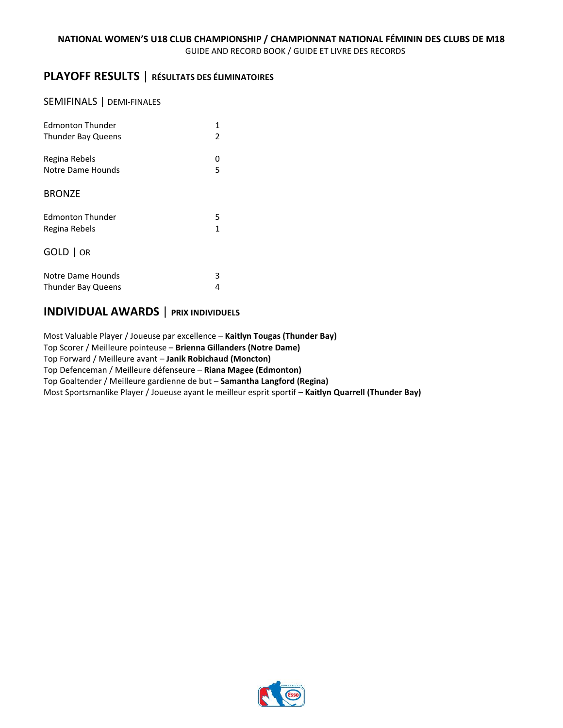# **PLAYOFF RESULTS** | **RÉSULTATS DES ÉLIMINATOIRES**

#### SEMIFINALS | DEMI-FINALES

| <b>Edmonton Thunder</b>   | 1             |
|---------------------------|---------------|
| <b>Thunder Bay Queens</b> | $\mathfrak z$ |
| Regina Rebels             | ი             |
| Notre Dame Hounds         | 5             |
| <b>BRONZE</b>             |               |
| <b>Edmonton Thunder</b>   | 5             |
| Regina Rebels             | 1             |
| GOLD   OR                 |               |
| Notre Dame Hounds         | 3             |
| <b>Thunder Bay Queens</b> | 4             |

# **INDIVIDUAL AWARDS** | **PRIX INDIVIDUELS**

Most Valuable Player / Joueuse par excellence – **Kaitlyn Tougas (Thunder Bay)** Top Scorer / Meilleure pointeuse – **Brienna Gillanders (Notre Dame)** Top Forward / Meilleure avant – **Janik Robichaud (Moncton)** Top Defenceman / Meilleure défenseure – **Riana Magee (Edmonton)** Top Goaltender / Meilleure gardienne de but – **Samantha Langford (Regina)** Most Sportsmanlike Player / Joueuse ayant le meilleur esprit sportif – **Kaitlyn Quarrell (Thunder Bay)**

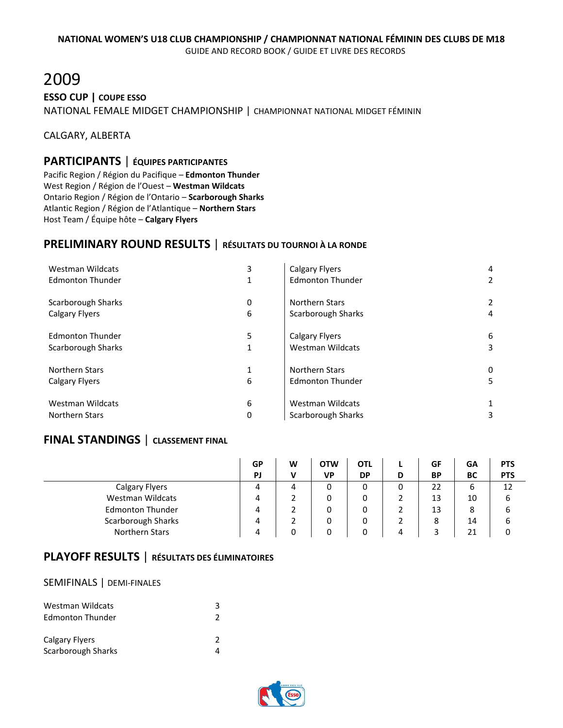# 2009 **ESSO CUP | COUPE ESSO** NATIONAL FEMALE MIDGET CHAMPIONSHIP | CHAMPIONNAT NATIONAL MIDGET FÉMININ

CALGARY, ALBERTA

### **PARTICIPANTS** | **ÉQUIPES PARTICIPANTES**

Pacific Region / Région du Pacifique – **Edmonton Thunder** West Region / Région de l'Ouest – **Westman Wildcats** Ontario Region / Région de l'Ontario – **Scarborough Sharks** Atlantic Region / Région de l'Atlantique – **Northern Stars** Host Team / Équipe hôte – **Calgary Flyers**

# **PRELIMINARY ROUND RESULTS** | **RÉSULTATS DU TOURNOI À LA RONDE**

| Westman Wildcats        | 3 | <b>Calgary Flyers</b>   | 4 |
|-------------------------|---|-------------------------|---|
| <b>Edmonton Thunder</b> | 1 | <b>Edmonton Thunder</b> |   |
| Scarborough Sharks      | 0 | <b>Northern Stars</b>   |   |
| <b>Calgary Flyers</b>   | 6 | Scarborough Sharks      |   |
| <b>Edmonton Thunder</b> | 5 | <b>Calgary Flyers</b>   | 6 |
| Scarborough Sharks      | 1 | <b>Westman Wildcats</b> | 3 |
| <b>Northern Stars</b>   | 1 | Northern Stars          | 0 |
| <b>Calgary Flyers</b>   | 6 | <b>Edmonton Thunder</b> | 5 |
| Westman Wildcats        | 6 | Westman Wildcats        | 3 |
| <b>Northern Stars</b>   | 0 | Scarborough Sharks      |   |

### **FINAL STANDINGS** | **CLASSEMENT FINAL**

|                         | GP | W | <b>OTW</b> | OTL       |   | GF        | GA | <b>PTS</b> |
|-------------------------|----|---|------------|-----------|---|-----------|----|------------|
|                         | PJ | ν | <b>VP</b>  | <b>DP</b> | D | <b>BP</b> | BC | <b>PTS</b> |
| Calgary Flyers          | Δ  | 4 | 0          |           | 0 | 22        | 6  | 12         |
| Westman Wildcats        |    |   | 0          | 0         |   | 13        | 10 | 6          |
| <b>Edmonton Thunder</b> |    |   | 0          | 0         |   | 13        | 8  | 6          |
| Scarborough Sharks      |    |   | 0          | 0         |   | 8         | 14 | 6          |
| Northern Stars          |    |   |            |           | 4 |           | 21 |            |

# **PLAYOFF RESULTS** | **RÉSULTATS DES ÉLIMINATOIRES**

#### SEMIFINALS | DEMI-FINALES

| Westman Wildcats<br>Edmonton Thunder | ર |
|--------------------------------------|---|
| Calgary Flyers<br>Scarborough Sharks |   |

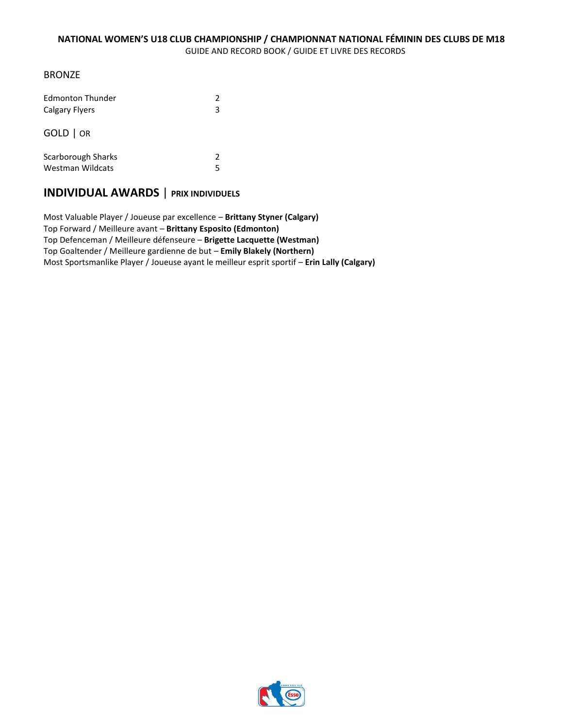#### BRONZE

| Edmonton Thunder      | 2             |
|-----------------------|---------------|
| <b>Calgary Flyers</b> | 3             |
| GOLD   OR             |               |
| Scarborough Sharks    | $\mathcal{P}$ |
| Westman Wildcats      | 5             |

## **INDIVIDUAL AWARDS** | **PRIX INDIVIDUELS**

Most Valuable Player / Joueuse par excellence – **Brittany Styner (Calgary)** Top Forward / Meilleure avant – **Brittany Esposito (Edmonton)** Top Defenceman / Meilleure défenseure – **Brigette Lacquette (Westman)** Top Goaltender / Meilleure gardienne de but – **Emily Blakely (Northern)** Most Sportsmanlike Player / Joueuse ayant le meilleur esprit sportif – **Erin Lally (Calgary)**

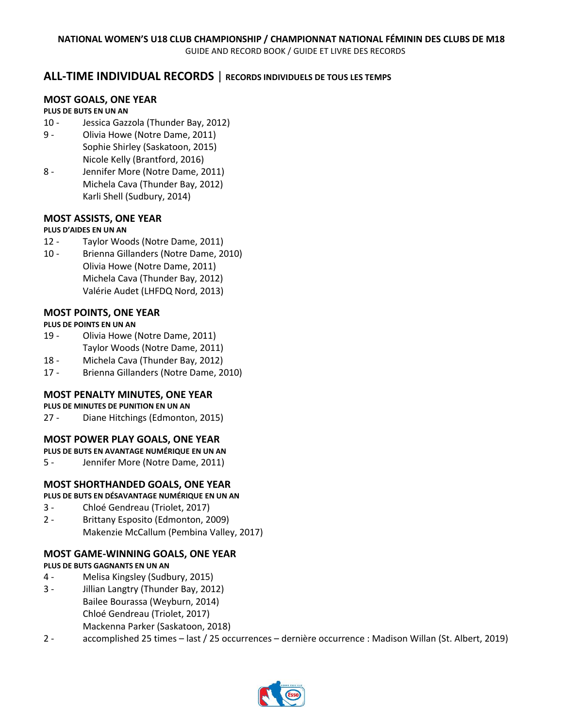## **ALL-TIME INDIVIDUAL RECORDS** | **RECORDS INDIVIDUELS DE TOUS LES TEMPS**

#### **MOST GOALS, ONE YEAR**

#### **PLUS DE BUTS EN UN AN**

- 10 Jessica Gazzola (Thunder Bay, 2012)
- 9 Olivia Howe (Notre Dame, 2011) Sophie Shirley (Saskatoon, 2015) Nicole Kelly (Brantford, 2016)
- 8 Jennifer More (Notre Dame, 2011) Michela Cava (Thunder Bay, 2012) Karli Shell (Sudbury, 2014)

#### **MOST ASSISTS, ONE YEAR**

#### **PLUS D'AIDES EN UN AN**

- 12 Taylor Woods (Notre Dame, 2011)
- 10 Brienna Gillanders (Notre Dame, 2010) Olivia Howe (Notre Dame, 2011) Michela Cava (Thunder Bay, 2012) Valérie Audet (LHFDQ Nord, 2013)

#### **MOST POINTS, ONE YEAR**

#### **PLUS DE POINTS EN UN AN**

- 19 Olivia Howe (Notre Dame, 2011) Taylor Woods (Notre Dame, 2011)
- 18 Michela Cava (Thunder Bay, 2012)
- 17 Brienna Gillanders (Notre Dame, 2010)

#### **MOST PENALTY MINUTES, ONE YEAR**

#### **PLUS DE MINUTES DE PUNITION EN UN AN**

27 - Diane Hitchings (Edmonton, 2015)

#### **MOST POWER PLAY GOALS, ONE YEAR**

- **PLUS DE BUTS EN AVANTAGE NUMÉRIQUE EN UN AN**
- 5 Jennifer More (Notre Dame, 2011)

#### **MOST SHORTHANDED GOALS, ONE YEAR**

#### **PLUS DE BUTS EN DÉSAVANTAGE NUMÉRIQUE EN UN AN**

- 3 Chloé Gendreau (Triolet, 2017)
- 2 Brittany Esposito (Edmonton, 2009) Makenzie McCallum (Pembina Valley, 2017)

#### **MOST GAME-WINNING GOALS, ONE YEAR**

#### **PLUS DE BUTS GAGNANTS EN UN AN**

- 4 Melisa Kingsley (Sudbury, 2015)
- 3 Jillian Langtry (Thunder Bay, 2012) Bailee Bourassa (Weyburn, 2014) Chloé Gendreau (Triolet, 2017) Mackenna Parker (Saskatoon, 2018)
- 2 accomplished 25 times last / 25 occurrences dernière occurrence : Madison Willan (St. Albert, 2019)

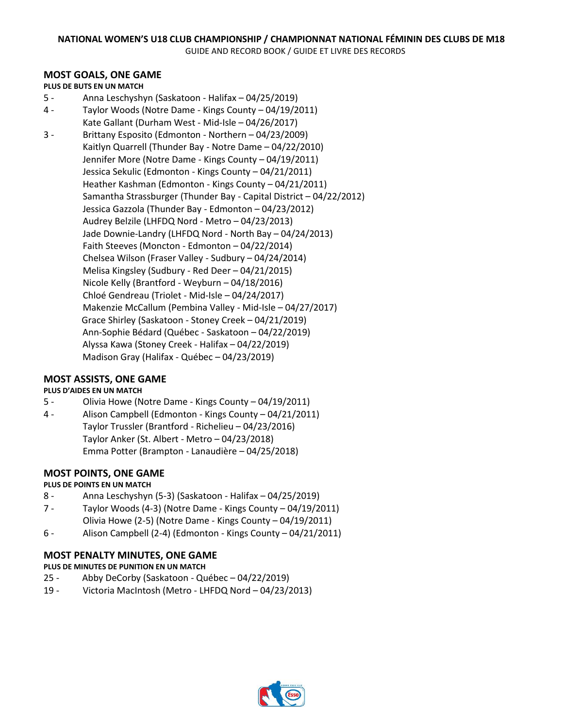#### **MOST GOALS, ONE GAME**

#### **PLUS DE BUTS EN UN MATCH**

- 5 Anna Leschyshyn (Saskatoon Halifax 04/25/2019)
- 4 Taylor Woods (Notre Dame Kings County 04/19/2011) Kate Gallant (Durham West - Mid-Isle – 04/26/2017) 3 - Brittany Esposito (Edmonton - Northern – 04/23/2009) Kaitlyn Quarrell (Thunder Bay - Notre Dame – 04/22/2010) Jennifer More (Notre Dame - Kings County – 04/19/2011) Jessica Sekulic (Edmonton - Kings County – 04/21/2011) Heather Kashman (Edmonton - Kings County – 04/21/2011) Samantha Strassburger (Thunder Bay - Capital District – 04/22/2012) Jessica Gazzola (Thunder Bay - Edmonton – 04/23/2012) Audrey Belzile (LHFDQ Nord - Metro – 04/23/2013) Jade Downie-Landry (LHFDQ Nord - North Bay – 04/24/2013) Faith Steeves (Moncton - Edmonton – 04/22/2014) Chelsea Wilson (Fraser Valley - Sudbury – 04/24/2014) Melisa Kingsley (Sudbury - Red Deer – 04/21/2015) Nicole Kelly (Brantford - Weyburn – 04/18/2016) Chloé Gendreau (Triolet - Mid-Isle – 04/24/2017) Makenzie McCallum (Pembina Valley - Mid-Isle – 04/27/2017) Grace Shirley (Saskatoon - Stoney Creek – 04/21/2019) Ann-Sophie Bédard (Québec - Saskatoon – 04/22/2019) Alyssa Kawa (Stoney Creek - Halifax – 04/22/2019) Madison Gray (Halifax - Québec – 04/23/2019)

#### **MOST ASSISTS, ONE GAME**

#### **PLUS D'AIDES EN UN MATCH**

- 5 Olivia Howe (Notre Dame Kings County 04/19/2011)
- 4 Alison Campbell (Edmonton Kings County 04/21/2011) Taylor Trussler (Brantford - Richelieu – 04/23/2016) Taylor Anker (St. Albert - Metro – 04/23/2018) Emma Potter (Brampton - Lanaudière – 04/25/2018)

#### **MOST POINTS, ONE GAME**

#### **PLUS DE POINTS EN UN MATCH**

- 8 Anna Leschyshyn (5-3) (Saskatoon Halifax 04/25/2019)
- 7 Taylor Woods (4-3) (Notre Dame Kings County 04/19/2011) Olivia Howe (2-5) (Notre Dame - Kings County – 04/19/2011)
- 6 Alison Campbell (2-4) (Edmonton Kings County 04/21/2011)

#### **MOST PENALTY MINUTES, ONE GAME**

#### **PLUS DE MINUTES DE PUNITION EN UN MATCH**

- 25 Abby DeCorby (Saskatoon Québec 04/22/2019)
- 19 Victoria MacIntosh (Metro LHFDQ Nord 04/23/2013)

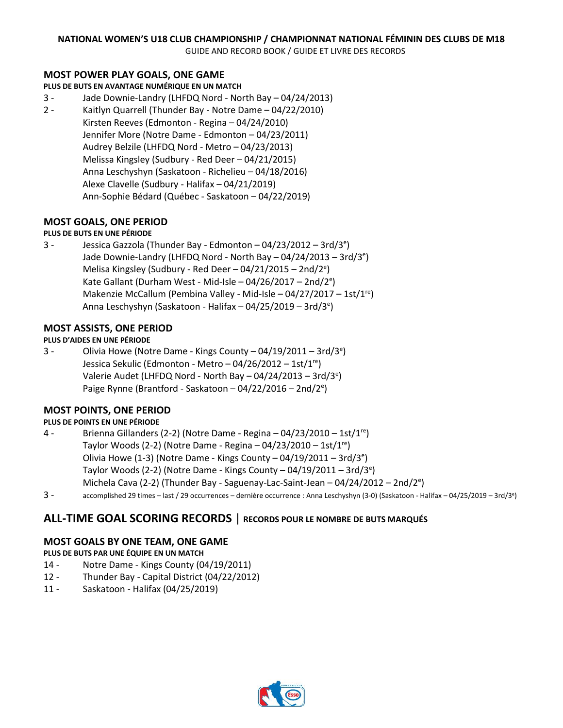GUIDE AND RECORD BOOK / GUIDE ET LIVRE DES RECORDS

#### **MOST POWER PLAY GOALS, ONE GAME**

**PLUS DE BUTS EN AVANTAGE NUMÉRIQUE EN UN MATCH**

- 3 Jade Downie-Landry (LHFDQ Nord North Bay 04/24/2013)
- 2 Kaitlyn Quarrell (Thunder Bay Notre Dame 04/22/2010) Kirsten Reeves (Edmonton - Regina – 04/24/2010) Jennifer More (Notre Dame - Edmonton – 04/23/2011) Audrey Belzile (LHFDQ Nord - Metro – 04/23/2013) Melissa Kingsley (Sudbury - Red Deer – 04/21/2015) Anna Leschyshyn (Saskatoon - Richelieu – 04/18/2016) Alexe Clavelle (Sudbury - Halifax – 04/21/2019) Ann-Sophie Bédard (Québec - Saskatoon – 04/22/2019)

#### **MOST GOALS, ONE PERIOD**

#### **PLUS DE BUTS EN UNE PÉRIODE**

3 - Jessica Gazzola (Thunder Bay - Edmonton – 04/23/2012 – 3rd/3<sup>e</sup> ) Jade Downie-Landry (LHFDQ Nord - North Bay – 04/24/2013 – 3rd/3<sup>e</sup>) Melisa Kingsley (Sudbury - Red Deer - 04/21/2015 - 2nd/2<sup>e</sup>) Kate Gallant (Durham West - Mid-Isle - 04/26/2017 - 2nd/2<sup>e</sup>) Makenzie McCallum (Pembina Valley - Mid-Isle – 04/27/2017 – 1st/1<sup>re</sup>) Anna Leschyshyn (Saskatoon - Halifax - 04/25/2019 - 3rd/3<sup>e</sup>)

#### **MOST ASSISTS, ONE PERIOD**

#### **PLUS D'AIDES EN UNE PÉRIODE**

3 - Olivia Howe (Notre Dame - Kings County  $-04/19/2011-3rd/3^e$ ) Jessica Sekulic (Edmonton - Metro - 04/26/2012 - 1st/1<sup>re</sup>) Valerie Audet (LHFDQ Nord - North Bay - 04/24/2013 - 3rd/3<sup>e</sup>) Paige Rynne (Brantford - Saskatoon - 04/22/2016 - 2nd/2<sup>e</sup>)

#### **MOST POINTS, ONE PERIOD**

#### **PLUS DE POINTS EN UNE PÉRIODE**

- 4 Brienna Gillanders (2-2) (Notre Dame Regina 04/23/2010 1st/1re) Taylor Woods (2-2) (Notre Dame - Regina  $-04/23/2010 - 1$ st/1<sup>re</sup>) Olivia Howe (1-3) (Notre Dame - Kings County  $-04/19/2011-3$ rd/3<sup>e</sup>) Taylor Woods (2-2) (Notre Dame - Kings County – 04/19/2011 – 3rd/3<sup>e</sup>) Michela Cava (2-2) (Thunder Bay - Saguenay-Lac-Saint-Jean - 04/24/2012 - 2nd/2<sup>e</sup>)
- 3 accomplished 29 times last / 29 occurrences dernière occurrence : Anna Leschyshyn (3-0) (Saskatoon Halifax 04/25/2019 3rd/3<sup>e</sup> )

#### **ALL-TIME GOAL SCORING RECORDS** | **RECORDS POUR LE NOMBRE DE BUTS MARQUÉS**

#### **MOST GOALS BY ONE TEAM, ONE GAME**

**PLUS DE BUTS PAR UNE ÉQUIPE EN UN MATCH**

- 14 Notre Dame Kings County (04/19/2011)
- 12 Thunder Bay Capital District (04/22/2012)
- 11 Saskatoon Halifax (04/25/2019)

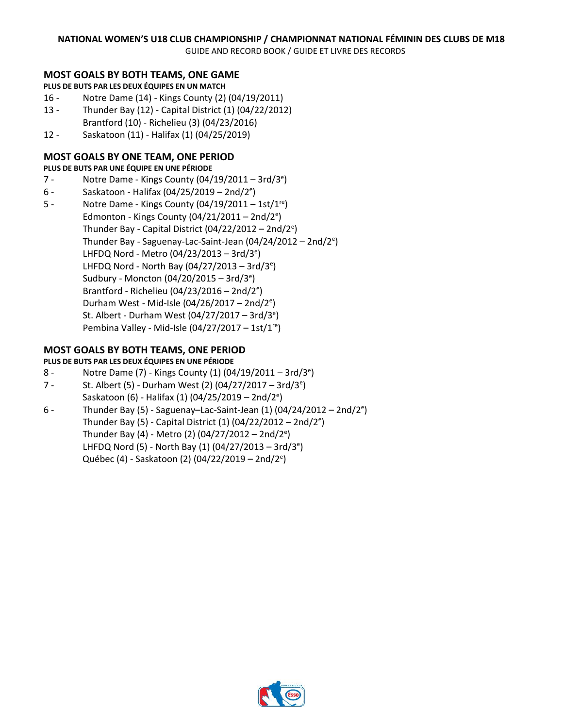GUIDE AND RECORD BOOK / GUIDE ET LIVRE DES RECORDS

#### **MOST GOALS BY BOTH TEAMS, ONE GAME**

**PLUS DE BUTS PAR LES DEUX ÉQUIPES EN UN MATCH**

- 16 Notre Dame (14) Kings County (2) (04/19/2011)
- 13 Thunder Bay (12) Capital District (1) (04/22/2012) Brantford (10) - Richelieu (3) (04/23/2016)
- 12 Saskatoon (11) Halifax (1) (04/25/2019)

#### **MOST GOALS BY ONE TEAM, ONE PERIOD**

**PLUS DE BUTS PAR UNE ÉQUIPE EN UNE PÉRIODE**

- 7 Notre Dame Kings County  $(04/19/2011 3rd/3^e)$
- 6 Saskatoon Halifax (04/25/2019 2nd/2<sup>e</sup>)
- 5 Notre Dame Kings County (04/19/2011 1st/1re) Edmonton - Kings County (04/21/2011 - 2nd/2<sup>e</sup>) Thunder Bay - Capital District (04/22/2012 – 2nd/2<sup>e</sup>) Thunder Bay - Saguenay-Lac-Saint-Jean (04/24/2012 - 2nd/2<sup>e</sup>) LHFDQ Nord - Metro (04/23/2013 – 3rd/3<sup>e</sup>) LHFDQ Nord - North Bay (04/27/2013  $-$  3rd/3<sup>e</sup>) Sudbury - Moncton (04/20/2015 – 3rd/3<sup>e</sup>) Brantford - Richelieu (04/23/2016 - 2nd/2<sup>e</sup>) Durham West - Mid-Isle (04/26/2017 - 2nd/2<sup>e</sup>) St. Albert - Durham West (04/27/2017 – 3rd/3<sup>e</sup>) Pembina Valley - Mid-Isle (04/27/2017 – 1st/1<sup>re</sup>)

#### **MOST GOALS BY BOTH TEAMS, ONE PERIOD**

#### **PLUS DE BUTS PAR LES DEUX ÉQUIPES EN UNE PÉRIODE**

- 8 Notre Dame (7) Kings County (1) (04/19/2011 3rd/3<sup>e</sup>)
- 7 St. Albert (5) Durham West (2) (04/27/2017 3rd/3<sup>e</sup>) Saskatoon (6) - Halifax (1) (04/25/2019 – 2nd/2<sup>e</sup>)
- 6 Thunder Bay (5) Saguenay–Lac-Saint-Jean (1)  $(04/24/2012 2nd/2^e)$ Thunder Bay (5) - Capital District (1) (04/22/2012 – 2nd/2<sup>e</sup>) Thunder Bay (4) - Metro (2) (04/27/2012 – 2nd/2<sup>e</sup>) LHFDQ Nord (5) - North Bay (1) (04/27/2013 - 3rd/3<sup>e</sup>) Québec (4) - Saskatoon (2) (04/22/2019 – 2nd/2<sup>e</sup>)

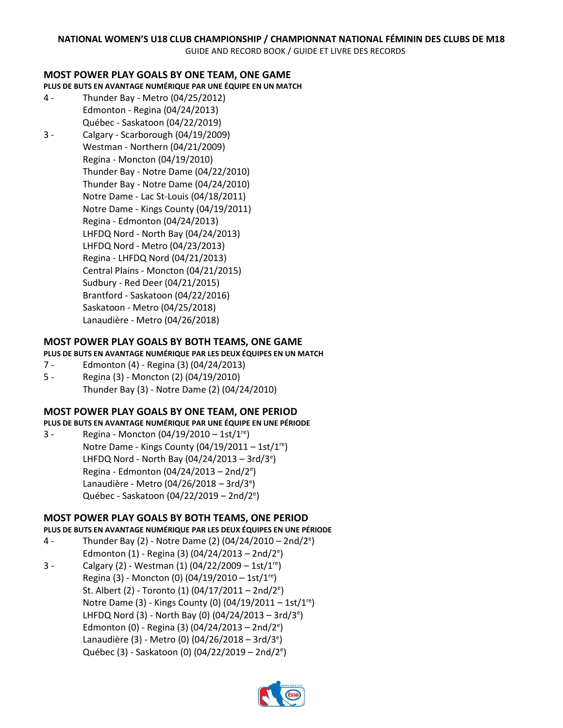#### **MOST POWER PLAY GOALS BY ONE TEAM, ONE GAME**

**PLUS DE BUTS EN AVANTAGE NUMÉRIQUE PAR UNE ÉQUIPE EN UN MATCH**

- 4 Thunder Bay Metro (04/25/2012) Edmonton - Regina (04/24/2013) Québec - Saskatoon (04/22/2019)
- 3 Calgary Scarborough (04/19/2009) Westman - Northern (04/21/2009) Regina - Moncton (04/19/2010) Thunder Bay - Notre Dame (04/22/2010) Thunder Bay - Notre Dame (04/24/2010) Notre Dame - Lac St-Louis (04/18/2011) Notre Dame - Kings County (04/19/2011) Regina - Edmonton (04/24/2013) LHFDQ Nord - North Bay (04/24/2013) LHFDQ Nord - Metro (04/23/2013) Regina - LHFDQ Nord (04/21/2013) Central Plains - Moncton (04/21/2015) Sudbury - Red Deer (04/21/2015) Brantford - Saskatoon (04/22/2016) Saskatoon - Metro (04/25/2018) Lanaudière - Metro (04/26/2018)

#### **MOST POWER PLAY GOALS BY BOTH TEAMS, ONE GAME**

#### **PLUS DE BUTS EN AVANTAGE NUMÉRIQUE PAR LES DEUX ÉQUIPES EN UN MATCH**

- 7 Edmonton (4) Regina (3) (04/24/2013)
- 5 Regina (3) Moncton (2) (04/19/2010) Thunder Bay (3) - Notre Dame (2) (04/24/2010)

#### **MOST POWER PLAY GOALS BY ONE TEAM, ONE PERIOD**

- **PLUS DE BUTS EN AVANTAGE NUMÉRIQUE PAR UNE ÉQUIPE EN UNE PÉRIODE**
- 3 Regina Moncton  $(04/19/2010 1st/1<sup>re</sup>)$ Notre Dame - Kings County  $(04/19/2011 - 1st/1<sup>re</sup>)$ LHFDQ Nord - North Bay (04/24/2013 - 3rd/3<sup>e</sup>) Regina - Edmonton (04/24/2013 - 2nd/2<sup>e</sup>) Lanaudière - Metro (04/26/2018 – 3rd/3<sup>e</sup>) Québec - Saskatoon (04/22/2019 – 2nd/2<sup>e</sup>)

#### **MOST POWER PLAY GOALS BY BOTH TEAMS, ONE PERIOD**

- **PLUS DE BUTS EN AVANTAGE NUMÉRIQUE PAR LES DEUX ÉQUIPES EN UNE PÉRIODE**
- 4 Thunder Bay (2) Notre Dame (2) (04/24/2010 2nd/2<sup>e</sup> ) Edmonton (1) - Regina (3) (04/24/2013 - 2nd/2<sup>e</sup>)
- 3 Calgary (2) Westman (1)  $(04/22/2009 1st/1<sup>re</sup>)$ Regina (3) - Moncton (0) (04/19/2010 – 1st/1<sup>re</sup>) St. Albert (2) - Toronto (1) (04/17/2011 - 2nd/2<sup>e</sup>) Notre Dame (3) - Kings County (0)  $(04/19/2011 - 1st/1<sup>re</sup>)$ LHFDQ Nord (3) - North Bay (0) (04/24/2013 - 3rd/3<sup>e</sup>) Edmonton (0) - Regina (3) (04/24/2013 - 2nd/2<sup>e</sup>) Lanaudière (3) - Metro (0) (04/26/2018 - 3rd/3<sup>e</sup>) Québec (3) - Saskatoon (0) (04/22/2019 – 2nd/2<sup>e</sup>)

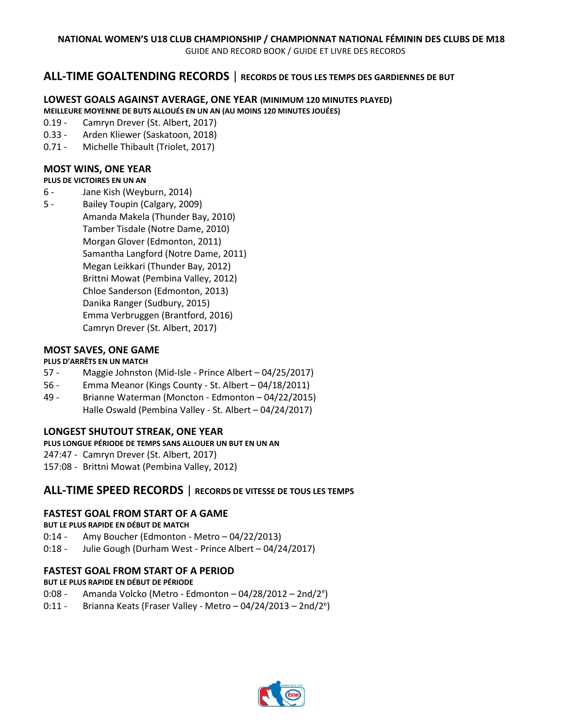### **ALL-TIME GOALTENDING RECORDS** | **RECORDS DE TOUS LES TEMPS DES GARDIENNES DE BUT**

#### **LOWEST GOALS AGAINST AVERAGE, ONE YEAR (MINIMUM 120 MINUTES PLAYED) MEILLEURE MOYENNE DE BUTS ALLOUÉS EN UN AN (AU MOINS 120 MINUTES JOUÉES)**

- 0.19 Camryn Drever (St. Albert, 2017)
- 
- 0.33 Arden Kliewer (Saskatoon, 2018)
- 0.71 Michelle Thibault (Triolet, 2017)

### **MOST WINS, ONE YEAR**

#### **PLUS DE VICTOIRES EN UN AN**

- 6 Jane Kish (Weyburn, 2014)
- 5 Bailey Toupin (Calgary, 2009) Amanda Makela (Thunder Bay, 2010) Tamber Tisdale (Notre Dame, 2010) Morgan Glover (Edmonton, 2011) Samantha Langford (Notre Dame, 2011) Megan Leikkari (Thunder Bay, 2012) Brittni Mowat (Pembina Valley, 2012) Chloe Sanderson (Edmonton, 2013) Danika Ranger (Sudbury, 2015) Emma Verbruggen (Brantford, 2016) Camryn Drever (St. Albert, 2017)

#### **MOST SAVES, ONE GAME**

#### **PLUS D'ARRÊTS EN UN MATCH**

- 57 Maggie Johnston (Mid-Isle Prince Albert 04/25/2017)
- 56 Emma Meanor (Kings County St. Albert 04/18/2011)
- 49 Brianne Waterman (Moncton Edmonton 04/22/2015) Halle Oswald (Pembina Valley - St. Albert – 04/24/2017)

#### **LONGEST SHUTOUT STREAK, ONE YEAR**

#### **PLUS LONGUE PÉRIODE DE TEMPS SANS ALLOUER UN BUT EN UN AN**

247:47 - Camryn Drever (St. Albert, 2017)

157:08 - Brittni Mowat (Pembina Valley, 2012)

#### **ALL-TIME SPEED RECORDS** | **RECORDS DE VITESSE DE TOUS LES TEMPS**

#### **FASTEST GOAL FROM START OF A GAME**

#### **BUT LE PLUS RAPIDE EN DÉBUT DE MATCH**

- 0:14 Amy Boucher (Edmonton Metro 04/22/2013)
- 0:18 Julie Gough (Durham West Prince Albert 04/24/2017)

#### **FASTEST GOAL FROM START OF A PERIOD**

#### **BUT LE PLUS RAPIDE EN DÉBUT DE PÉRIODE**

- 0:08 Amanda Volcko (Metro Edmonton 04/28/2012 2nd/2<sup>e</sup>)
- 0:11 Brianna Keats (Fraser Valley Metro  $-$  04/24/2013  $-$  2nd/2<sup>e</sup>)

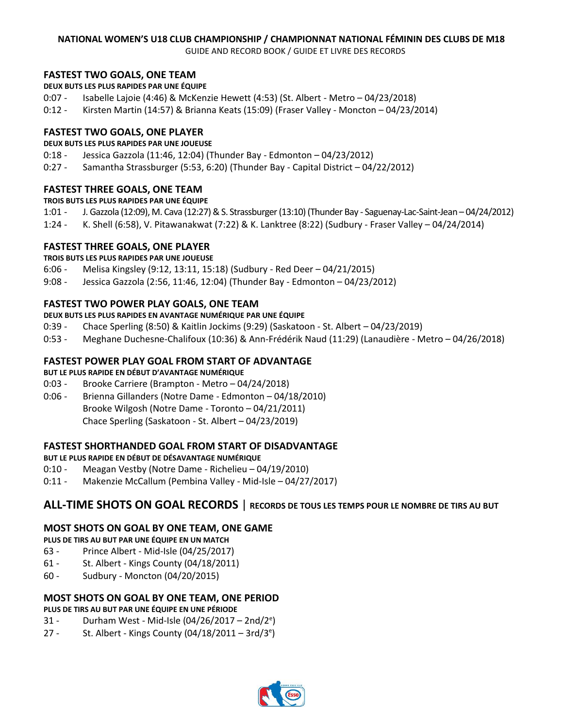GUIDE AND RECORD BOOK / GUIDE ET LIVRE DES RECORDS

#### **FASTEST TWO GOALS, ONE TEAM**

- **DEUX BUTS LES PLUS RAPIDES PAR UNE ÉQUIPE**
- 0:07 Isabelle Lajoie (4:46) & McKenzie Hewett (4:53) (St. Albert Metro 04/23/2018)
- 0:12 Kirsten Martin (14:57) & Brianna Keats (15:09) (Fraser Valley Moncton 04/23/2014)

#### **FASTEST TWO GOALS, ONE PLAYER**

#### **DEUX BUTS LES PLUS RAPIDES PAR UNE JOUEUSE**

- 0:18 Jessica Gazzola (11:46, 12:04) (Thunder Bay Edmonton 04/23/2012)
- 0:27 Samantha Strassburger (5:53, 6:20) (Thunder Bay Capital District 04/22/2012)

#### **FASTEST THREE GOALS, ONE TEAM**

#### **TROIS BUTS LES PLUS RAPIDES PAR UNE ÉQUIPE**

- 1:01 J. Gazzola (12:09), M. Cava (12:27) & S. Strassburger (13:10) (Thunder Bay Saguenay-Lac-Saint-Jean 04/24/2012)
- 1:24 K. Shell (6:58), V. Pitawanakwat (7:22) & K. Lanktree (8:22) (Sudbury Fraser Valley 04/24/2014)

#### **FASTEST THREE GOALS, ONE PLAYER**

**TROIS BUTS LES PLUS RAPIDES PAR UNE JOUEUSE**

- 6:06 Melisa Kingsley (9:12, 13:11, 15:18) (Sudbury Red Deer 04/21/2015)
- 9:08 Jessica Gazzola (2:56, 11:46, 12:04) (Thunder Bay Edmonton 04/23/2012)

#### **FASTEST TWO POWER PLAY GOALS, ONE TEAM**

- **DEUX BUTS LES PLUS RAPIDES EN AVANTAGE NUMÉRIQUE PAR UNE ÉQUIPE**
- 0:39 Chace Sperling (8:50) & Kaitlin Jockims (9:29) (Saskatoon St. Albert 04/23/2019)
- 0:53 Meghane Duchesne-Chalifoux (10:36) & Ann-Frédérik Naud (11:29) (Lanaudière Metro 04/26/2018)

#### **FASTEST POWER PLAY GOAL FROM START OF ADVANTAGE**

#### **BUT LE PLUS RAPIDE EN DÉBUT D'AVANTAGE NUMÉRIQUE**

- 0:03 Brooke Carriere (Brampton Metro 04/24/2018)
- 0:06 Brienna Gillanders (Notre Dame Edmonton 04/18/2010) Brooke Wilgosh (Notre Dame - Toronto – 04/21/2011) Chace Sperling (Saskatoon - St. Albert – 04/23/2019)

#### **FASTEST SHORTHANDED GOAL FROM START OF DISADVANTAGE**

#### **BUT LE PLUS RAPIDE EN DÉBUT DE DÉSAVANTAGE NUMÉRIQUE**

- 0:10 Meagan Vestby (Notre Dame Richelieu 04/19/2010)
- 0:11 Makenzie McCallum (Pembina Valley Mid-Isle 04/27/2017)

# **ALL-TIME SHOTS ON GOAL RECORDS** | **RECORDS DE TOUS LES TEMPS POUR LE NOMBRE DE TIRS AU BUT**

#### **MOST SHOTS ON GOAL BY ONE TEAM, ONE GAME**

**PLUS DE TIRS AU BUT PAR UNE ÉQUIPE EN UN MATCH**

- 63 Prince Albert Mid-Isle (04/25/2017)
- 61 St. Albert Kings County (04/18/2011)
- 60 Sudbury Moncton (04/20/2015)

#### **MOST SHOTS ON GOAL BY ONE TEAM, ONE PERIOD**

#### **PLUS DE TIRS AU BUT PAR UNE ÉQUIPE EN UNE PÉRIODE**

- 31 Durham West Mid-Isle (04/26/2017 2nd/2<sup>e</sup>)
- 27 St. Albert Kings County (04/18/2011 3rd/3<sup>e</sup>)

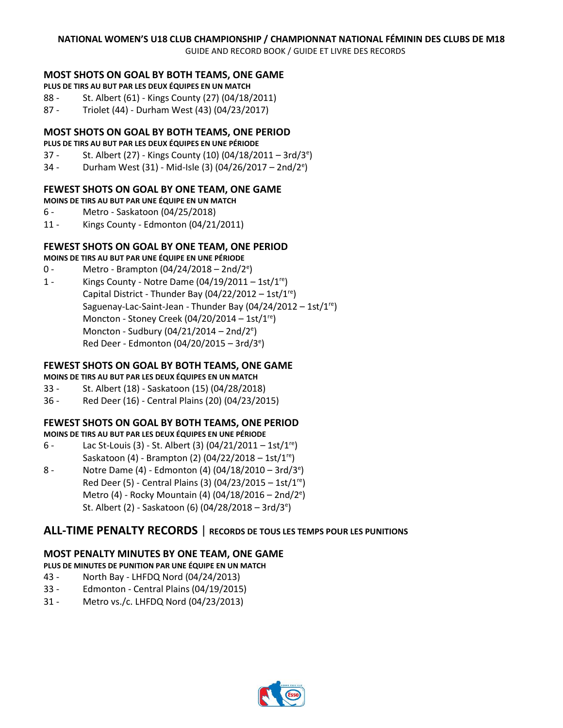GUIDE AND RECORD BOOK / GUIDE ET LIVRE DES RECORDS

#### **MOST SHOTS ON GOAL BY BOTH TEAMS, ONE GAME**

- **PLUS DE TIRS AU BUT PAR LES DEUX ÉQUIPES EN UN MATCH**
- 88 St. Albert (61) Kings County (27) (04/18/2011)
- 87 Triolet (44) Durham West (43) (04/23/2017)

#### **MOST SHOTS ON GOAL BY BOTH TEAMS, ONE PERIOD**

#### **PLUS DE TIRS AU BUT PAR LES DEUX ÉQUIPES EN UNE PÉRIODE**

- 37 St. Albert (27) Kings County (10) (04/18/2011 3rd/3<sup>e</sup>)
- 34 Durham West (31) Mid-Isle (3) (04/26/2017 2nd/2<sup>e</sup>)

#### **FEWEST SHOTS ON GOAL BY ONE TEAM, ONE GAME**

**MOINS DE TIRS AU BUT PAR UNE ÉQUIPE EN UN MATCH**

- 6 Metro Saskatoon (04/25/2018)
- 11 Kings County Edmonton (04/21/2011)

#### **FEWEST SHOTS ON GOAL BY ONE TEAM, ONE PERIOD**

#### **MOINS DE TIRS AU BUT PAR UNE ÉQUIPE EN UNE PÉRIODE**

- 0 Metro Brampton (04/24/2018 2nd/2<sup>e</sup>)
- 1 Kings County Notre Dame  $(04/19/2011 1st/1<sup>re</sup>)$ Capital District - Thunder Bay  $(04/22/2012 - 1st/1<sup>re</sup>)$ Saguenay-Lac-Saint-Jean - Thunder Bay  $(04/24/2012 - 1st/1<sup>re</sup>)$ Moncton - Stoney Creek (04/20/2014 – 1st/1<sup>re</sup>) Moncton - Sudbury (04/21/2014 - 2nd/2<sup>e</sup>) Red Deer - Edmonton (04/20/2015 - 3rd/3<sup>e</sup>)

#### **FEWEST SHOTS ON GOAL BY BOTH TEAMS, ONE GAME**

- **MOINS DE TIRS AU BUT PAR LES DEUX ÉQUIPES EN UN MATCH**
- 33 St. Albert (18) Saskatoon (15) (04/28/2018)
- 36 Red Deer (16) Central Plains (20) (04/23/2015)

#### **FEWEST SHOTS ON GOAL BY BOTH TEAMS, ONE PERIOD**

**MOINS DE TIRS AU BUT PAR LES DEUX ÉQUIPES EN UNE PÉRIODE**

- 6 Lac St-Louis (3) St. Albert (3)  $(04/21/2011 1st/1<sup>re</sup>)$ Saskatoon (4) - Brampton (2) (04/22/2018 – 1st/1<sup>re</sup>)
- 8 Notre Dame (4) Edmonton (4) (04/18/2010 3rd/3<sup>e</sup>) Red Deer (5) - Central Plains (3) (04/23/2015 – 1st/1<sup>re</sup>) Metro (4) - Rocky Mountain (4) (04/18/2016 - 2nd/2<sup>e</sup>) St. Albert (2) - Saskatoon (6) (04/28/2018 – 3rd/3<sup>e</sup>)

### **ALL-TIME PENALTY RECORDS** | **RECORDS DE TOUS LES TEMPS POUR LES PUNITIONS**

#### **MOST PENALTY MINUTES BY ONE TEAM, ONE GAME**

#### **PLUS DE MINUTES DE PUNITION PAR UNE ÉQUIPE EN UN MATCH**

- 43 North Bay LHFDQ Nord (04/24/2013)
- 33 Edmonton Central Plains (04/19/2015)
- 31 Metro vs./c. LHFDQ Nord (04/23/2013)

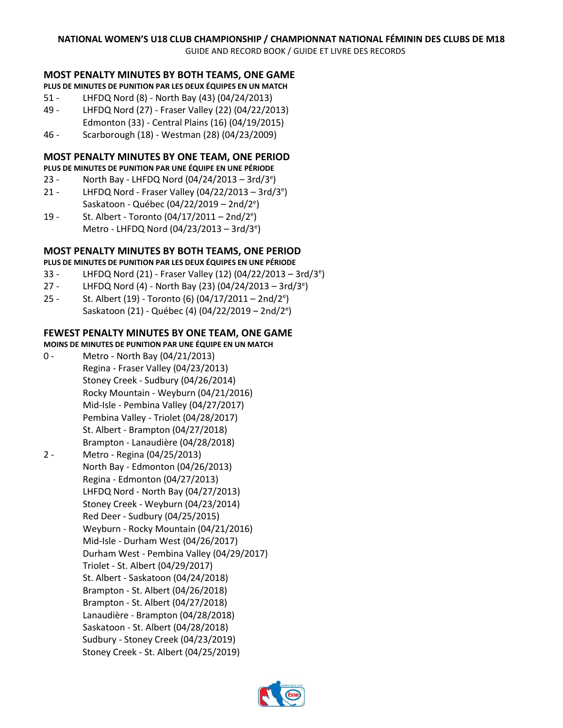GUIDE AND RECORD BOOK / GUIDE ET LIVRE DES RECORDS

#### **MOST PENALTY MINUTES BY BOTH TEAMS, ONE GAME**

**PLUS DE MINUTES DE PUNITION PAR LES DEUX ÉQUIPES EN UN MATCH**

- 51 LHFDQ Nord (8) North Bay (43) (04/24/2013)
- 49 LHFDQ Nord (27) Fraser Valley (22) (04/22/2013)
- Edmonton (33) Central Plains (16) (04/19/2015)
- 46 Scarborough (18) Westman (28) (04/23/2009)

#### **MOST PENALTY MINUTES BY ONE TEAM, ONE PERIOD**

**PLUS DE MINUTES DE PUNITION PAR UNE ÉQUIPE EN UNE PÉRIODE**

- 23 North Bay LHFDQ Nord (04/24/2013 3rd/3<sup>e</sup>)
- 21 LHFDQ Nord Fraser Valley (04/22/2013 3rd/3<sup>e</sup> ) Saskatoon - Québec (04/22/2019 – 2nd/2<sup>e</sup>)
- 19 St. Albert Toronto (04/17/2011 2nd/2<sup>e</sup>) Metro - LHFDQ Nord (04/23/2013 - 3rd/3<sup>e</sup>)

#### **MOST PENALTY MINUTES BY BOTH TEAMS, ONE PERIOD**

**PLUS DE MINUTES DE PUNITION PAR LES DEUX ÉQUIPES EN UNE PÉRIODE**

- 33 LHFDQ Nord (21) Fraser Valley (12) (04/22/2013 3rd/3<sup>e</sup>)
- 27 LHFDQ Nord (4) North Bay (23) (04/24/2013 3rd/3<sup>e</sup>)
- 25 St. Albert (19) Toronto (6) (04/17/2011 2nd/2<sup>e</sup>) Saskatoon (21) - Québec (4) (04/22/2019 – 2nd/2<sup>e</sup>)

#### **FEWEST PENALTY MINUTES BY ONE TEAM, ONE GAME**

#### **MOINS DE MINUTES DE PUNITION PAR UNE ÉQUIPE EN UN MATCH**

- 0 Metro North Bay (04/21/2013) Regina - Fraser Valley (04/23/2013) Stoney Creek - Sudbury (04/26/2014) Rocky Mountain - Weyburn (04/21/2016) Mid-Isle - Pembina Valley (04/27/2017) Pembina Valley - Triolet (04/28/2017) St. Albert - Brampton (04/27/2018) Brampton - Lanaudière (04/28/2018)
- 2 Metro Regina (04/25/2013) North Bay - Edmonton (04/26/2013) Regina - Edmonton (04/27/2013) LHFDQ Nord - North Bay (04/27/2013) Stoney Creek - Weyburn (04/23/2014) Red Deer - Sudbury (04/25/2015) Weyburn - Rocky Mountain (04/21/2016) Mid-Isle - Durham West (04/26/2017) Durham West - Pembina Valley (04/29/2017) Triolet - St. Albert (04/29/2017) St. Albert - Saskatoon (04/24/2018) Brampton - St. Albert (04/26/2018) Brampton - St. Albert (04/27/2018) Lanaudière - Brampton (04/28/2018) Saskatoon - St. Albert (04/28/2018) Sudbury - Stoney Creek (04/23/2019) Stoney Creek - St. Albert (04/25/2019)

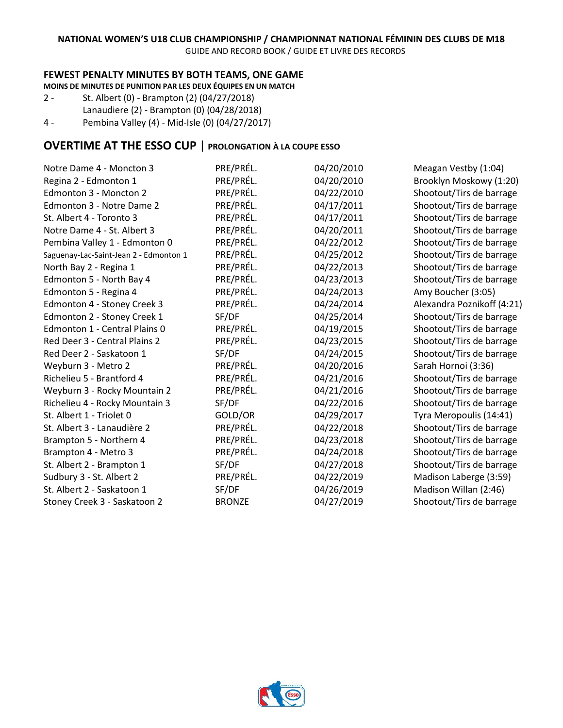GUIDE AND RECORD BOOK / GUIDE ET LIVRE DES RECORDS

#### **FEWEST PENALTY MINUTES BY BOTH TEAMS, ONE GAME**

**MOINS DE MINUTES DE PUNITION PAR LES DEUX ÉQUIPES EN UN MATCH**

- 2 St. Albert (0) Brampton (2) (04/27/2018) Lanaudiere (2) - Brampton (0) (04/28/2018)
- 4 Pembina Valley (4) Mid-Isle (0) (04/27/2017)

# **OVERTIME AT THE ESSO CUP** | **PROLONGATION À LA COUPE ESSO**

| PRE/PRÉL.     | 04/20/2010 | Meagan Vestby (1:04)       |
|---------------|------------|----------------------------|
| PRE/PRÉL.     | 04/20/2010 | Brooklyn Moskowy (1:20)    |
| PRE/PRÉL.     | 04/22/2010 | Shootout/Tirs de barrage   |
| PRE/PRÉL.     | 04/17/2011 | Shootout/Tirs de barrage   |
| PRE/PRÉL.     | 04/17/2011 | Shootout/Tirs de barrage   |
| PRE/PRÉL.     | 04/20/2011 | Shootout/Tirs de barrage   |
| PRE/PRÉL.     | 04/22/2012 | Shootout/Tirs de barrage   |
| PRE/PRÉL.     | 04/25/2012 | Shootout/Tirs de barrage   |
| PRE/PRÉL.     | 04/22/2013 | Shootout/Tirs de barrage   |
| PRE/PRÉL.     | 04/23/2013 | Shootout/Tirs de barrage   |
| PRE/PRÉL.     | 04/24/2013 | Amy Boucher (3:05)         |
| PRE/PRÉL.     | 04/24/2014 | Alexandra Poznikoff (4:21) |
| SF/DF         | 04/25/2014 | Shootout/Tirs de barrage   |
| PRE/PRÉL.     | 04/19/2015 | Shootout/Tirs de barrage   |
| PRE/PRÉL.     | 04/23/2015 | Shootout/Tirs de barrage   |
| SF/DF         | 04/24/2015 | Shootout/Tirs de barrage   |
| PRE/PRÉL.     | 04/20/2016 | Sarah Hornoi (3:36)        |
| PRE/PRÉL.     | 04/21/2016 | Shootout/Tirs de barrage   |
| PRE/PRÉL.     | 04/21/2016 | Shootout/Tirs de barrage   |
| SF/DF         | 04/22/2016 | Shootout/Tirs de barrage   |
| GOLD/OR       | 04/29/2017 | Tyra Meropoulis (14:41)    |
| PRE/PRÉL.     | 04/22/2018 | Shootout/Tirs de barrage   |
| PRE/PRÉL.     | 04/23/2018 | Shootout/Tirs de barrage   |
| PRE/PRÉL.     | 04/24/2018 | Shootout/Tirs de barrage   |
| SF/DF         | 04/27/2018 | Shootout/Tirs de barrage   |
| PRE/PRÉL.     | 04/22/2019 | Madison Laberge (3:59)     |
| SF/DF         | 04/26/2019 | Madison Willan (2:46)      |
| <b>BRONZE</b> | 04/27/2019 | Shootout/Tirs de barrage   |
|               |            |                            |

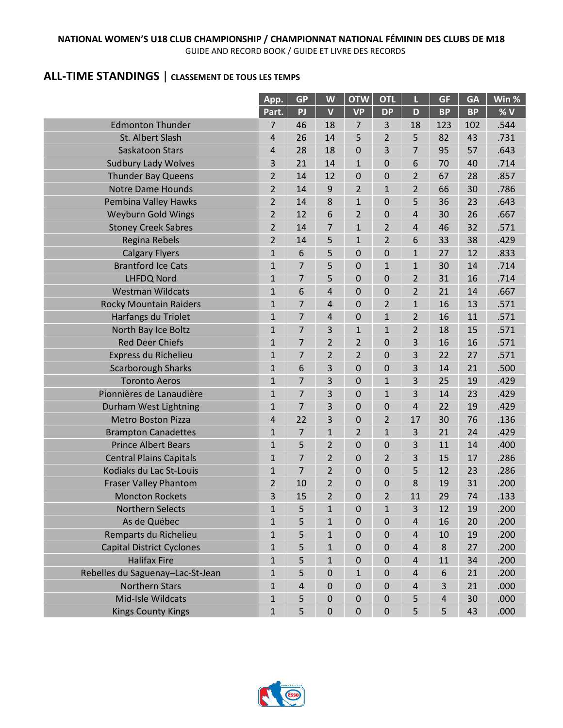#### **NATIONAL WOMEN'S U18 CLUB CHAMPIONSHIP / CHAMPIONNAT NATIONAL FÉMININ DES CLUBS DE M18** GUIDE AND RECORD BOOK / GUIDE ET LIVRE DES RECORDS

# **ALL-TIME STANDINGS** | **CLASSEMENT DE TOUS LES TEMPS**

|                                  | App.           | <b>GP</b>  | W                       | <b>OTW</b>       | <b>OTL</b>     | L                       | <b>GF</b> | <b>GA</b> | Win % |
|----------------------------------|----------------|------------|-------------------------|------------------|----------------|-------------------------|-----------|-----------|-------|
|                                  | Part.          | PJ         | $\overline{\mathsf{V}}$ | <b>VP</b>        | <b>DP</b>      | D                       | <b>BP</b> | <b>BP</b> | %V    |
| <b>Edmonton Thunder</b>          | 7              | 46         | 18                      | 7                | 3              | 18                      | 123       | 102       | .544  |
| St. Albert Slash                 | 4              | 26         | 14                      | 5                | $\overline{2}$ | 5                       | 82        | 43        | .731  |
| Saskatoon Stars                  | $\overline{4}$ | 28         | 18                      | $\mathbf 0$      | 3              | 7                       | 95        | 57        | .643  |
| <b>Sudbury Lady Wolves</b>       | 3              | 21         | 14                      | $\mathbf{1}$     | 0              | 6                       | 70        | 40        | .714  |
| <b>Thunder Bay Queens</b>        | $\overline{2}$ | 14         | 12                      | 0                | 0              | $\overline{2}$          | 67        | 28        | .857  |
| <b>Notre Dame Hounds</b>         | $\overline{2}$ | 14         | 9                       | $\overline{2}$   | $\mathbf{1}$   | $\overline{2}$          | 66        | 30        | .786  |
| Pembina Valley Hawks             | $\overline{2}$ | 14         | 8                       | $\mathbf{1}$     | 0              | 5                       | 36        | 23        | .643  |
| <b>Weyburn Gold Wings</b>        | $\overline{2}$ | 12         | 6                       | $\overline{2}$   | 0              | 4                       | 30        | 26        | .667  |
| <b>Stoney Creek Sabres</b>       | $\overline{2}$ | 14         | 7                       | $\mathbf{1}$     | $\overline{2}$ | 4                       | 46        | 32        | .571  |
| <b>Regina Rebels</b>             | $\overline{2}$ | 14         | 5                       | $\mathbf{1}$     | $\overline{2}$ | 6                       | 33        | 38        | .429  |
| <b>Calgary Flyers</b>            | $\mathbf{1}$   | 6          | 5                       | 0                | 0              | $\mathbf{1}$            | 27        | 12        | .833  |
| <b>Brantford Ice Cats</b>        | $\mathbf{1}$   | 7          | 5                       | $\mathbf 0$      | $\mathbf{1}$   | $\mathbf{1}$            | 30        | 14        | .714  |
| <b>LHFDQ Nord</b>                | $\mathbf{1}$   | 7          | 5                       | $\mathbf 0$      | 0              | $\overline{2}$          | 31        | 16        | .714  |
| <b>Westman Wildcats</b>          | $\mathbf{1}$   | 6          | 4                       | 0                | $\mathbf 0$    | $\overline{2}$          | 21        | 14        | .667  |
| <b>Rocky Mountain Raiders</b>    | $\mathbf{1}$   | 7          | 4                       | 0                | $\overline{2}$ | $\mathbf{1}$            | 16        | 13        | .571  |
| Harfangs du Triolet              | $\mathbf{1}$   | 7          | 4                       | $\mathbf 0$      | $\mathbf{1}$   | $\overline{2}$          | 16        | 11        | .571  |
| North Bay Ice Boltz              | $\mathbf{1}$   | 7          | 3                       | $\mathbf{1}$     | $\mathbf{1}$   | $\overline{2}$          | 18        | 15        | .571  |
| <b>Red Deer Chiefs</b>           | $\mathbf 1$    | 7          | $\overline{2}$          | $\overline{2}$   | 0              | 3                       | 16        | 16        | .571  |
| Express du Richelieu             | $\mathbf{1}$   | 7          | $\overline{\mathbf{c}}$ | $\overline{2}$   | 0              | 3                       | 22        | 27        | .571  |
| <b>Scarborough Sharks</b>        | $\mathbf{1}$   | 6          | 3                       | $\mathbf 0$      | $\mathbf 0$    | 3                       | 14        | 21        | .500  |
| <b>Toronto Aeros</b>             | $\mathbf{1}$   | 7          | 3                       | 0                | $\mathbf{1}$   | 3                       | 25        | 19        | .429  |
| Pionnières de Lanaudière         | $\mathbf{1}$   | 7          | 3                       | $\mathbf 0$      | $\mathbf{1}$   | 3                       | 14        | 23        | .429  |
| Durham West Lightning            | $\mathbf{1}$   | 7          | 3                       | 0                | 0              | 4                       | 22        | 19        | .429  |
| <b>Metro Boston Pizza</b>        | 4              | 22         | 3                       | 0                | $\overline{2}$ | 17                      | 30        | 76        | .136  |
| <b>Brampton Canadettes</b>       | $\mathbf{1}$   | 7          | $\mathbf 1$             | 2                | $\mathbf{1}$   | 3                       | 21        | 24        | .429  |
| <b>Prince Albert Bears</b>       | $\mathbf{1}$   | 5          | 2                       | $\mathbf 0$      | 0              | 3                       | 11        | 14        | .400  |
| <b>Central Plains Capitals</b>   | $\mathbf{1}$   | 7          | 2                       | 0                | $\overline{2}$ | 3                       | 15        | 17        | .286  |
| Kodiaks du Lac St-Louis          | $\mathbf{1}$   | 7          | $\overline{2}$          | 0                | 0              | 5                       | 12        | 23        | .286  |
| <b>Fraser Valley Phantom</b>     | 2              | 10         | 2                       | 0                | 0              | 8                       | 19        | 31        | .200  |
| <b>Moncton Rockets</b>           | 3              | 15         | $\overline{2}$          | 0                | $\overline{2}$ | 11                      | 29        | 74        | .133  |
| Northern Selects                 | $\mathbf{1}$   | 5          | $\mathbf 1$             | $\mathbf 0$      | $\mathbf{1}$   | 3                       | 12        | 19        | .200  |
| As de Québec                     | 1              | 5          | 1                       | $\mathbf 0$      | $\mathbf 0$    | 4                       | 16        | 20        | .200  |
| Remparts du Richelieu            | $\mathbf{1}$   | 5          | $\mathbf 1$             | $\boldsymbol{0}$ | 0              | 4                       | 10        | 19        | .200  |
| <b>Capital District Cyclones</b> | $\mathbf{1}$   | 5          | $\mathbf{1}$            | $\boldsymbol{0}$ | $\mathbf 0$    | $\overline{\mathbf{4}}$ | 8         | 27        | .200  |
| <b>Halifax Fire</b>              | $\mathbf{1}$   | 5          | $\mathbf{1}$            | $\boldsymbol{0}$ | $\mathbf 0$    | $\overline{\mathbf{r}}$ | 11        | 34        | .200  |
| Rebelles du Saguenay-Lac-St-Jean | $\mathbf{1}$   | 5          | 0                       | $\mathbf{1}$     | $\mathbf 0$    | 4                       | 6         | 21        | .200  |
| <b>Northern Stars</b>            | $\mathbf{1}$   | $\sqrt{4}$ | 0                       | $\boldsymbol{0}$ | $\mathbf 0$    | 4                       | 3         | 21        | .000  |
| Mid-Isle Wildcats                | 1              | 5          | 0                       | $\boldsymbol{0}$ | $\mathbf 0$    | 5                       | 4         | 30        | .000  |
| <b>Kings County Kings</b>        | $\overline{1}$ | 5          | $\mathbf 0$             | $\pmb{0}$        | $\mathbf 0$    | 5                       | 5         | 43        | .000  |

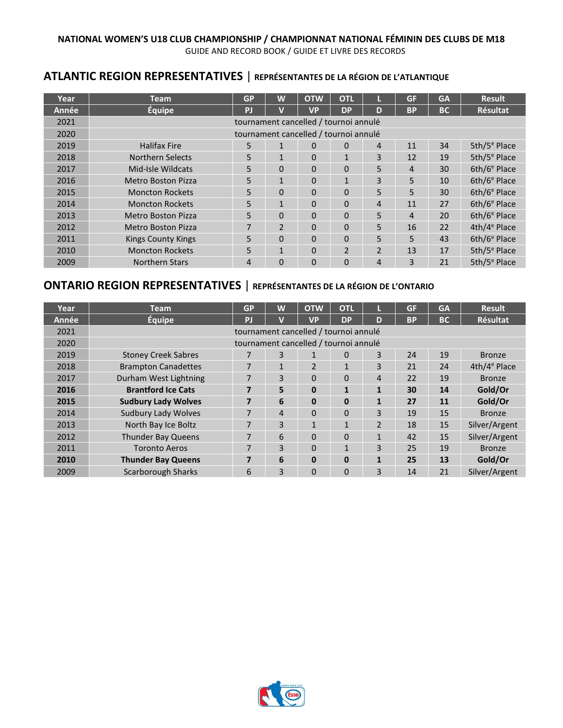# **ATLANTIC REGION REPRESENTATIVES** | **REPRÉSENTANTES DE LA RÉGION DE L'ATLANTIQUE**

| Year  | <b>Team</b>               | <b>GP</b>      | W              | <b>OTW</b>                            | <b>OTL</b>     |                | <b>GF</b>      | <b>GA</b> | <b>Result</b>            |
|-------|---------------------------|----------------|----------------|---------------------------------------|----------------|----------------|----------------|-----------|--------------------------|
| Année | Équipe                    | PJ             |                | <b>VP</b>                             | <b>DP</b>      | D              | <b>BP</b>      | <b>BC</b> | <b>Résultat</b>          |
| 2021  |                           |                |                | tournament cancelled / tournoi annulé |                |                |                |           |                          |
| 2020  |                           |                |                | tournament cancelled / tournoi annulé |                |                |                |           |                          |
| 2019  | <b>Halifax Fire</b>       | 5              | $\mathbf{1}$   | 0                                     | $\Omega$       | 4              | 11             | 34        | 5th/ $5^e$ Place         |
| 2018  | Northern Selects          | 5              | $\mathbf{1}$   | 0                                     | $\mathbf{1}$   | 3              | 12             | 19        | 5th/5 <sup>e</sup> Place |
| 2017  | Mid-Isle Wildcats         | 5              | $\Omega$       | $\Omega$                              | $\Omega$       | 5              | $\overline{4}$ | 30        | 6th/6 <sup>e</sup> Place |
| 2016  | Metro Boston Pizza        | 5              | $\mathbf{1}$   | 0                                     | $\mathbf{1}$   | 3              | 5              | 10        | 6th/6 <sup>e</sup> Place |
| 2015  | <b>Moncton Rockets</b>    | 5              | $\Omega$       | 0                                     | $\Omega$       | 5              | 5              | 30        | 6th/6 <sup>e</sup> Place |
| 2014  | <b>Moncton Rockets</b>    | 5              | $\mathbf{1}$   | 0                                     | $\Omega$       | 4              | 11             | 27        | 6th/6 <sup>e</sup> Place |
| 2013  | <b>Metro Boston Pizza</b> | 5              | $\Omega$       | $\Omega$                              | $\Omega$       | 5              | 4              | 20        | 6th/6 <sup>e</sup> Place |
| 2012  | Metro Boston Pizza        | 7              | $\mathfrak{p}$ | $\Omega$                              | $\Omega$       | 5.             | 16             | 22        | 4th/4 <sup>e</sup> Place |
| 2011  | <b>Kings County Kings</b> | 5              | $\Omega$       | $\Omega$                              | $\Omega$       | 5.             | 5              | 43        | 6th/6 <sup>e</sup> Place |
| 2010  | <b>Moncton Rockets</b>    | 5              | $\mathbf{1}$   | 0                                     | $\overline{2}$ | $\overline{2}$ | 13             | 17        | 5th/5 <sup>e</sup> Place |
| 2009  | <b>Northern Stars</b>     | $\overline{4}$ | $\Omega$       | $\Omega$                              | $\Omega$       | 4              | 3              | 21        | 5th/5 <sup>e</sup> Place |

# **ONTARIO REGION REPRESENTATIVES** | **REPRÉSENTANTES DE LA RÉGION DE L'ONTARIO**

| Year  | <b>Team</b>                | <b>GP</b>      | W            | <b>OTW</b>                            | <b>OTL</b>   |                | <b>GF</b> | <b>GA</b> | <b>Result</b>   |
|-------|----------------------------|----------------|--------------|---------------------------------------|--------------|----------------|-----------|-----------|-----------------|
| Année | <b>Équipe</b>              | <b>P</b>       | $\mathbf v$  | <b>VP</b>                             | <b>DP</b>    | D              | <b>BP</b> | <b>BC</b> | <b>Résultat</b> |
| 2021  |                            |                |              | tournament cancelled / tournoi annulé |              |                |           |           |                 |
| 2020  |                            |                |              | tournament cancelled / tournoi annulé |              |                |           |           |                 |
| 2019  | <b>Stoney Creek Sabres</b> |                | 3            | $\mathbf{I}$                          | $\Omega$     | 3              | 24        | 19        | <b>Bronze</b>   |
| 2018  | <b>Brampton Canadettes</b> | 7              | $\mathbf{1}$ | $\overline{2}$                        | $\mathbf{1}$ | 3              | 21        | 24        | $4th/4e$ Place  |
| 2017  | Durham West Lightning      | 7              | 3            | $\Omega$                              | $\Omega$     | 4              | 22        | 19        | <b>Bronze</b>   |
| 2016  | <b>Brantford Ice Cats</b>  | $\overline{7}$ | 5            | $\mathbf{0}$                          | $\mathbf{1}$ | 1              | 30        | 14        | Gold/Or         |
| 2015  | <b>Sudbury Lady Wolves</b> | $\overline{7}$ | 6            | $\bf{0}$                              | $\mathbf 0$  | 1              | 27        | 11        | Gold/Or         |
| 2014  | <b>Sudbury Lady Wolves</b> | 7              | 4            | $\Omega$                              | $\Omega$     | 3              | 19        | 15        | <b>Bronze</b>   |
| 2013  | North Bay Ice Boltz        | 7              | 3            | 1                                     | $\mathbf{1}$ | $\overline{2}$ | 18        | 15        | Silver/Argent   |
| 2012  | <b>Thunder Bay Queens</b>  | 7              | 6            | $\Omega$                              | $\Omega$     | $\mathbf{1}$   | 42        | 15        | Silver/Argent   |
| 2011  | <b>Toronto Aeros</b>       | 7              | 3            | $\Omega$                              | $\mathbf{1}$ | 3              | 25        | 19        | <b>Bronze</b>   |
| 2010  | <b>Thunder Bay Queens</b>  | 7              | 6            | $\bf{0}$                              | $\mathbf 0$  | $\mathbf{1}$   | 25        | 13        | Gold/Or         |
| 2009  | <b>Scarborough Sharks</b>  | 6              | 3            | $\Omega$                              | $\Omega$     | 3              | 14        | 21        | Silver/Argent   |

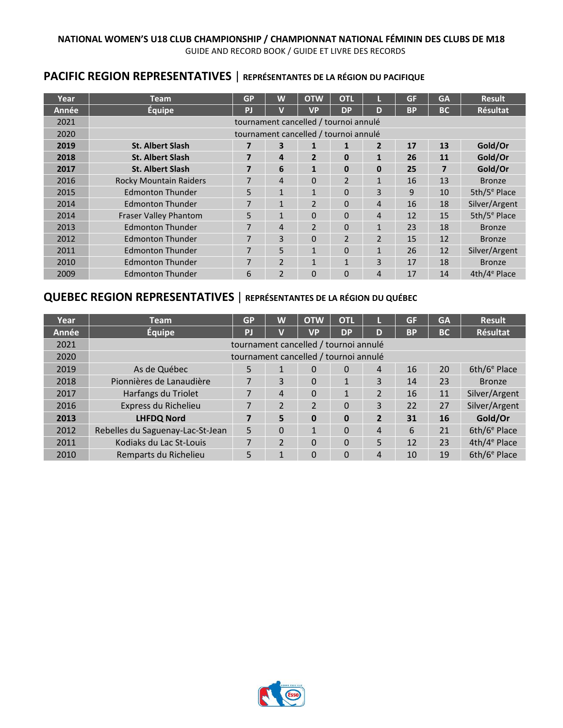# **PACIFIC REGION REPRESENTATIVES** | **REPRÉSENTANTES DE LA RÉGION DU PACIFIQUE**

| Year         | <b>Team</b>                   | <b>GP</b>      | W              | <b>OTW</b>                            | <b>OTL</b>     |                | <b>GF</b> | <b>GA</b> | <b>Result</b>            |
|--------------|-------------------------------|----------------|----------------|---------------------------------------|----------------|----------------|-----------|-----------|--------------------------|
| <b>Année</b> | <b>Équipe</b>                 | PJ             | $\mathbf v$    | <b>VP</b>                             | <b>DP</b>      | D              | <b>BP</b> | <b>BC</b> | <b>Résultat</b>          |
| 2021         |                               |                |                | tournament cancelled / tournoi annulé |                |                |           |           |                          |
| 2020         |                               |                |                | tournament cancelled / tournoi annulé |                |                |           |           |                          |
| 2019         | <b>St. Albert Slash</b>       | 7              | 3              | 1                                     | 1              | $\overline{2}$ | 17        | 13        | Gold/Or                  |
| 2018         | <b>St. Albert Slash</b>       | $\overline{7}$ | 4              | $\overline{2}$                        | $\bf{0}$       | $\mathbf{1}$   | 26        | 11        | Gold/Or                  |
| 2017         | <b>St. Albert Slash</b>       | 7              | 6              | $\mathbf{1}$                          | $\bf{0}$       | $\bf{0}$       | 25        | 7         | Gold/Or                  |
| 2016         | <b>Rocky Mountain Raiders</b> | 7              | 4              | 0                                     | $\overline{2}$ | $\mathbf{1}$   | 16        | 13        | <b>Bronze</b>            |
| 2015         | <b>Edmonton Thunder</b>       | 5              | $\mathbf{1}$   | $\mathbf{1}$                          | $\Omega$       | $\overline{3}$ | 9         | 10        | 5th/5 <sup>e</sup> Place |
| 2014         | <b>Edmonton Thunder</b>       | 7              | $\mathbf{1}$   | $\mathfrak{p}$                        | $\Omega$       | 4              | 16        | 18        | Silver/Argent            |
| 2014         | Fraser Valley Phantom         | 5              | $\mathbf{1}$   | 0                                     | 0              | $\overline{4}$ | 12        | 15        | 5th/5 <sup>e</sup> Place |
| 2013         | <b>Edmonton Thunder</b>       | 7              | 4              | $\mathcal{P}$                         | $\Omega$       | $\mathbf 1$    | 23        | 18        | <b>Bronze</b>            |
| 2012         | <b>Edmonton Thunder</b>       | 7              | 3              | $\Omega$                              | $\overline{2}$ | $\overline{2}$ | 15        | 12        | <b>Bronze</b>            |
| 2011         | <b>Edmonton Thunder</b>       | 7              | 5              | $\mathbf{1}$                          | $\Omega$       | $\mathbf{1}$   | 26        | 12        | Silver/Argent            |
| 2010         | <b>Edmonton Thunder</b>       | 7              | $\overline{2}$ | 1                                     | $\mathbf{1}$   | $\overline{3}$ | 17        | 18        | <b>Bronze</b>            |
| 2009         | <b>Edmonton Thunder</b>       | 6              | $\overline{2}$ | 0                                     | 0              | 4              | 17        | 14        | 4th/4 <sup>e</sup> Place |

# **QUEBEC REGION REPRESENTATIVES** | **REPRÉSENTANTES DE LA RÉGION DU QUÉBEC**

| Year  | <b>Team</b>                           | <b>GP</b> | W              | <b>OTW</b>                            | <b>OTL</b>     |                | <b>GF</b> | <b>GA</b> | <b>Result</b>            |
|-------|---------------------------------------|-----------|----------------|---------------------------------------|----------------|----------------|-----------|-----------|--------------------------|
| Année | <b>Équipe</b>                         | PI        |                | <b>VP</b>                             | <b>DP</b>      | D              | <b>BP</b> | <b>BC</b> | <b>Résultat</b>          |
| 2021  |                                       |           |                | tournament cancelled / tournoi annulé |                |                |           |           |                          |
| 2020  | tournament cancelled / tournoi annulé |           |                |                                       |                |                |           |           |                          |
| 2019  | As de Québec                          | 5         |                | $\Omega$                              | $\Omega$       | 4              | 16        | 20        | 6th/6 <sup>e</sup> Place |
| 2018  | Pionnières de Lanaudière              |           | 3              | $\Omega$                              | 1              | 3              | 14        | 23        | <b>Bronze</b>            |
| 2017  | Harfangs du Triolet                   | 7         | 4              | $\Omega$                              | 1              | $\mathfrak{p}$ | 16        | 11        | Silver/Argent            |
| 2016  | Express du Richelieu                  | 7         | $\overline{2}$ | $\overline{2}$                        | $\overline{0}$ | 3              | 22        | 27        | Silver/Argent            |
| 2013  | <b>LHFDQ Nord</b>                     | 7         | 5              | $\bf{0}$                              | 0              | 2              | 31        | 16        | Gold/Or                  |
| 2012  | Rebelles du Saguenay-Lac-St-Jean      | 5         | $\overline{0}$ | 1                                     | 0              | 4              | 6         | 21        | 6th/6 <sup>e</sup> Place |
| 2011  | Kodiaks du Lac St-Louis               | 7         | $\mathfrak{p}$ | $\Omega$                              | 0              | 5              | 12        | 23        | 4th/4 <sup>e</sup> Place |
| 2010  | Remparts du Richelieu                 | 5         | 1              | $\Omega$                              | 0              | 4              | 10        | 19        | 6th/6 <sup>e</sup> Place |

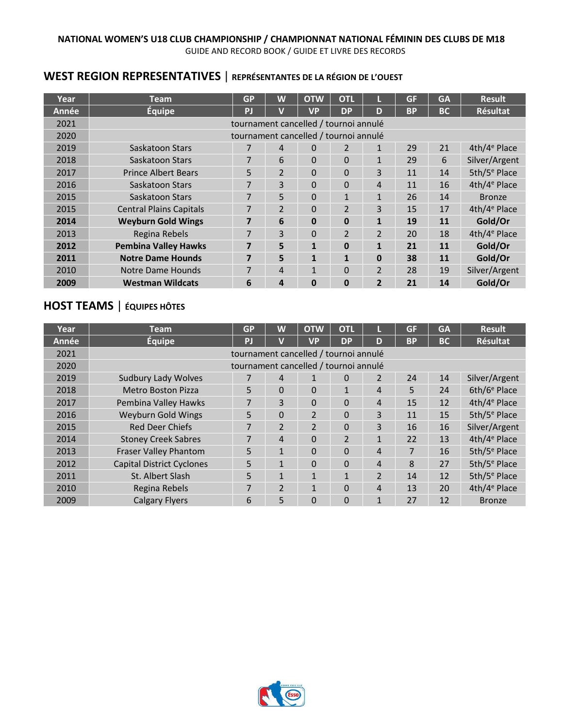# **WEST REGION REPRESENTATIVES** | **REPRÉSENTANTES DE LA RÉGION DE L'OUEST**

| Year  | <b>Team</b>                    | <b>GP</b> | W              | <b>OTW</b>                            | <b>OTL</b>               |                | <b>GF</b> | <b>GA</b> | <b>Result</b>            |
|-------|--------------------------------|-----------|----------------|---------------------------------------|--------------------------|----------------|-----------|-----------|--------------------------|
| Année | <b>Équipe</b>                  | PJ        | $\mathbf v$    | <b>VP</b>                             | <b>DP</b>                | D              | <b>BP</b> | <b>BC</b> | <b>Résultat</b>          |
| 2021  |                                |           |                | tournament cancelled / tournoi annulé |                          |                |           |           |                          |
| 2020  |                                |           |                | tournament cancelled / tournoi annulé |                          |                |           |           |                          |
| 2019  | Saskatoon Stars                |           | 4              | $\Omega$                              | $\overline{2}$           | $\mathbf{1}$   | 29        | 21        | 4th/4 <sup>e</sup> Place |
| 2018  | Saskatoon Stars                | 7         | 6              | 0                                     | $\Omega$                 | 1              | 29        | 6         | Silver/Argent            |
| 2017  | <b>Prince Albert Bears</b>     | 5         | $\overline{2}$ | $\Omega$                              | $\Omega$                 | 3              | 11        | 14        | 5th/5 <sup>e</sup> Place |
| 2016  | Saskatoon Stars                | 7         | 3              | $\Omega$                              | $\Omega$                 | 4              | 11        | 16        | 4th/4 <sup>e</sup> Place |
| 2015  | Saskatoon Stars                | 7         | 5              | $\Omega$                              | 1                        | $\mathbf{1}$   | 26        | 14        | <b>Bronze</b>            |
| 2015  | <b>Central Plains Capitals</b> | 7         | $\mathcal{P}$  | $\Omega$                              | $\overline{\phantom{a}}$ | 3              | 15        | 17        | 4th/4 <sup>e</sup> Place |
| 2014  | <b>Weyburn Gold Wings</b>      | 7         | 6              | $\mathbf{0}$                          | $\bf{0}$                 | $\mathbf{1}$   | 19        | 11        | Gold/Or                  |
| 2013  | Regina Rebels                  | 7         | 3              | $\Omega$                              | $\overline{2}$           | $\overline{2}$ | 20        | 18        | 4th/4 <sup>e</sup> Place |
| 2012  | <b>Pembina Valley Hawks</b>    | 7         | 5              | $\mathbf{1}$                          | 0                        | 1              | 21        | 11        | Gold/Or                  |
| 2011  | <b>Notre Dame Hounds</b>       | 7         | 5              | $\mathbf{1}$                          | $\mathbf{1}$             | $\mathbf{0}$   | 38        | 11        | Gold/Or                  |
| 2010  | Notre Dame Hounds              | 7         | 4              | $\mathbf{1}$                          | 0                        | $\overline{2}$ | 28        | 19        | Silver/Argent            |
| 2009  | <b>Westman Wildcats</b>        | 6         | 4              | $\mathbf{0}$                          | 0                        | $\overline{2}$ | 21        | 14        | Gold/Or                  |

# **HOST TEAMS** | **ÉQUIPES HÔTES**

| Year  | <b>Team</b>                      | <b>GP</b>                             | W              | <b>OTW</b>     | <b>OTL</b>    |                | <b>GF</b> | <b>GA</b> | <b>Result</b>            |
|-------|----------------------------------|---------------------------------------|----------------|----------------|---------------|----------------|-----------|-----------|--------------------------|
| Année | <b>Équipe</b>                    | PJ                                    | V              | <b>VP</b>      | <b>DP</b>     | D              | <b>BP</b> | <b>BC</b> | <b>Résultat</b>          |
| 2021  |                                  | tournament cancelled / tournoi annulé |                |                |               |                |           |           |                          |
| 2020  |                                  | tournament cancelled / tournoi annulé |                |                |               |                |           |           |                          |
| 2019  | <b>Sudbury Lady Wolves</b>       |                                       | 4              |                | 0             | 2              | 24        | 14        | Silver/Argent            |
| 2018  | <b>Metro Boston Pizza</b>        | 5                                     | $\Omega$       | $\Omega$       | $\mathbf{1}$  | 4              | 5         | 24        | 6th/6 <sup>e</sup> Place |
| 2017  | Pembina Valley Hawks             | 7                                     | 3              | $\Omega$       | $\Omega$      | 4              | 15        | 12        | 4th/4 <sup>e</sup> Place |
| 2016  | <b>Weyburn Gold Wings</b>        | 5                                     | $\Omega$       | $\overline{2}$ | $\Omega$      | 3              | 11        | 15        | 5th/5 <sup>e</sup> Place |
| 2015  | <b>Red Deer Chiefs</b>           | 7                                     | $\overline{2}$ | $\overline{2}$ | 0             | 3              | 16        | 16        | Silver/Argent            |
| 2014  | <b>Stoney Creek Sabres</b>       | $\overline{7}$                        | $\overline{4}$ | $\Omega$       | $\mathcal{P}$ | $\mathbf{1}$   | 22        | 13        | 4th/4 <sup>e</sup> Place |
| 2013  | <b>Fraser Valley Phantom</b>     | 5                                     | $\mathbf{1}$   | $\Omega$       | $\Omega$      | $\overline{4}$ | 7         | 16        | 5th/5 <sup>e</sup> Place |
| 2012  | <b>Capital District Cyclones</b> | 5                                     | $\mathbf{1}$   | $\Omega$       | 0             | 4              | 8         | 27        | 5th/5 <sup>e</sup> Place |
| 2011  | St. Albert Slash                 | 5                                     | 1              | $\mathbf{1}$   | 1             | $\overline{2}$ | 14        | 12        | 5th/5 <sup>e</sup> Place |
| 2010  | Regina Rebels                    | 7                                     | $\mathcal{P}$  | $\mathbf{1}$   | $\Omega$      | $\overline{4}$ | 13        | 20        | 4th/4 <sup>e</sup> Place |
| 2009  | <b>Calgary Flyers</b>            | 6                                     | 5              | 0              | 0             | $\mathbf{1}$   | 27        | 12        | <b>Bronze</b>            |

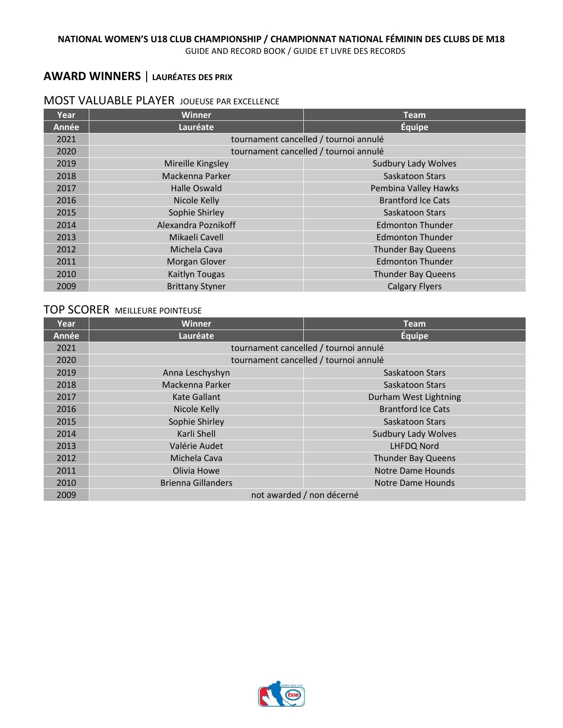# **AWARD WINNERS** | **LAURÉATES DES PRIX**

### MOST VALUABLE PLAYER JOUEUSE PAR EXCELLENCE

| Year  | <b>Winner</b>          | <b>Team</b>                           |
|-------|------------------------|---------------------------------------|
| Année | Lauréate               | <b>Équipe</b>                         |
| 2021  |                        | tournament cancelled / tournoi annulé |
| 2020  |                        | tournament cancelled / tournoi annulé |
| 2019  | Mireille Kingsley      | <b>Sudbury Lady Wolves</b>            |
| 2018  | Mackenna Parker        | Saskatoon Stars                       |
| 2017  | <b>Halle Oswald</b>    | Pembina Valley Hawks                  |
| 2016  | Nicole Kelly           | <b>Brantford Ice Cats</b>             |
| 2015  | Sophie Shirley         | Saskatoon Stars                       |
| 2014  | Alexandra Poznikoff    | <b>Edmonton Thunder</b>               |
| 2013  | Mikaeli Cavell         | <b>Edmonton Thunder</b>               |
| 2012  | Michela Cava           | <b>Thunder Bay Queens</b>             |
| 2011  | Morgan Glover          | <b>Edmonton Thunder</b>               |
| 2010  | Kaitlyn Tougas         | <b>Thunder Bay Queens</b>             |
| 2009  | <b>Brittany Styner</b> | <b>Calgary Flyers</b>                 |

# TOP SCORER MEILLEURE POINTEUSE

| <b>Year</b> | <b>Winner</b>                         | <b>Team</b>                           |  |  |  |  |  |
|-------------|---------------------------------------|---------------------------------------|--|--|--|--|--|
| Année       | Lauréate                              | <b>Équipe</b>                         |  |  |  |  |  |
| 2021        | tournament cancelled / tournoi annulé |                                       |  |  |  |  |  |
| 2020        |                                       | tournament cancelled / tournoi annulé |  |  |  |  |  |
| 2019        | Anna Leschyshyn                       | Saskatoon Stars                       |  |  |  |  |  |
| 2018        | Mackenna Parker                       | Saskatoon Stars                       |  |  |  |  |  |
| 2017        | Kate Gallant                          | Durham West Lightning                 |  |  |  |  |  |
| 2016        | Nicole Kelly                          | <b>Brantford Ice Cats</b>             |  |  |  |  |  |
| 2015        | Sophie Shirley                        | Saskatoon Stars                       |  |  |  |  |  |
| 2014        | Karli Shell                           | <b>Sudbury Lady Wolves</b>            |  |  |  |  |  |
| 2013        | Valérie Audet                         | LHFDQ Nord                            |  |  |  |  |  |
| 2012        | Michela Cava                          | <b>Thunder Bay Queens</b>             |  |  |  |  |  |
| 2011        | Olivia Howe                           | <b>Notre Dame Hounds</b>              |  |  |  |  |  |
| 2010        | <b>Brienna Gillanders</b>             | Notre Dame Hounds                     |  |  |  |  |  |
| 2009        | not awarded / non décerné             |                                       |  |  |  |  |  |

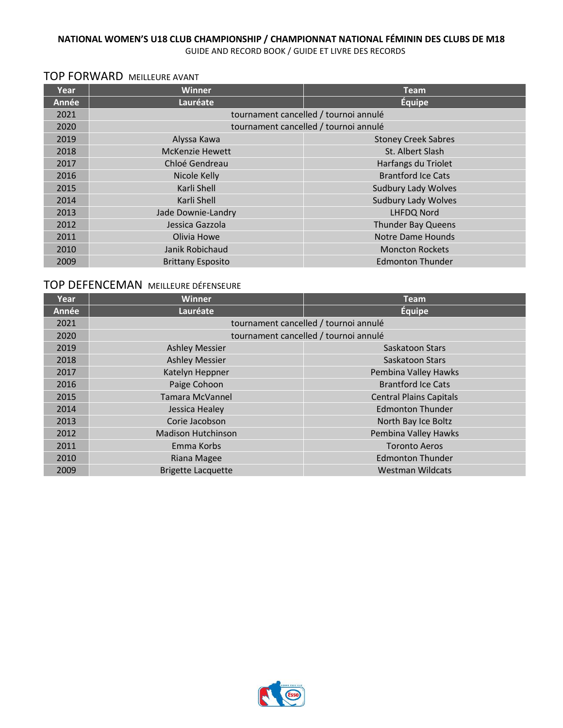GUIDE AND RECORD BOOK / GUIDE ET LIVRE DES RECORDS

# TOP FORWARD MEILLEURE AVANT

| Year  | <b>Winner</b>                         | <b>Team</b>                           |  |  |  |  |  |
|-------|---------------------------------------|---------------------------------------|--|--|--|--|--|
| Année | Lauréate                              | <b>Équipe</b>                         |  |  |  |  |  |
| 2021  | tournament cancelled / tournoi annulé |                                       |  |  |  |  |  |
| 2020  |                                       | tournament cancelled / tournoi annulé |  |  |  |  |  |
| 2019  | Alyssa Kawa                           | <b>Stoney Creek Sabres</b>            |  |  |  |  |  |
| 2018  | <b>McKenzie Hewett</b>                | St. Albert Slash                      |  |  |  |  |  |
| 2017  | Chloé Gendreau                        | Harfangs du Triolet                   |  |  |  |  |  |
| 2016  | Nicole Kelly                          | <b>Brantford Ice Cats</b>             |  |  |  |  |  |
| 2015  | Karli Shell                           | Sudbury Lady Wolves                   |  |  |  |  |  |
| 2014  | Karli Shell                           | <b>Sudbury Lady Wolves</b>            |  |  |  |  |  |
| 2013  | Jade Downie-Landry                    | <b>LHFDQ Nord</b>                     |  |  |  |  |  |
| 2012  | Jessica Gazzola                       | <b>Thunder Bay Queens</b>             |  |  |  |  |  |
| 2011  | Olivia Howe                           | <b>Notre Dame Hounds</b>              |  |  |  |  |  |
| 2010  | Janik Robichaud                       | <b>Moncton Rockets</b>                |  |  |  |  |  |
| 2009  | <b>Brittany Esposito</b>              | <b>Edmonton Thunder</b>               |  |  |  |  |  |

# TOP DEFENCEMAN MEILLEURE DÉFENSEURE

| <b>Year</b> | <b>Winner</b>                         | <b>Team</b>                    |  |  |  |  |  |
|-------------|---------------------------------------|--------------------------------|--|--|--|--|--|
| Année       | Lauréate                              | <b>Équipe</b>                  |  |  |  |  |  |
| 2021        | tournament cancelled / tournoi annulé |                                |  |  |  |  |  |
| 2020        | tournament cancelled / tournoi annulé |                                |  |  |  |  |  |
| 2019        | <b>Ashley Messier</b>                 | Saskatoon Stars                |  |  |  |  |  |
| 2018        | <b>Ashley Messier</b>                 | Saskatoon Stars                |  |  |  |  |  |
| 2017        | Katelyn Heppner                       | Pembina Valley Hawks           |  |  |  |  |  |
| 2016        | Paige Cohoon                          | <b>Brantford Ice Cats</b>      |  |  |  |  |  |
| 2015        | Tamara McVannel                       | <b>Central Plains Capitals</b> |  |  |  |  |  |
| 2014        | Jessica Healey                        | <b>Edmonton Thunder</b>        |  |  |  |  |  |
| 2013        | Corie Jacobson                        | North Bay Ice Boltz            |  |  |  |  |  |
| 2012        | <b>Madison Hutchinson</b>             | Pembina Valley Hawks           |  |  |  |  |  |
| 2011        | Emma Korbs                            | <b>Toronto Aeros</b>           |  |  |  |  |  |
| 2010        | Riana Magee                           | <b>Edmonton Thunder</b>        |  |  |  |  |  |
| 2009        | <b>Brigette Lacquette</b>             | <b>Westman Wildcats</b>        |  |  |  |  |  |